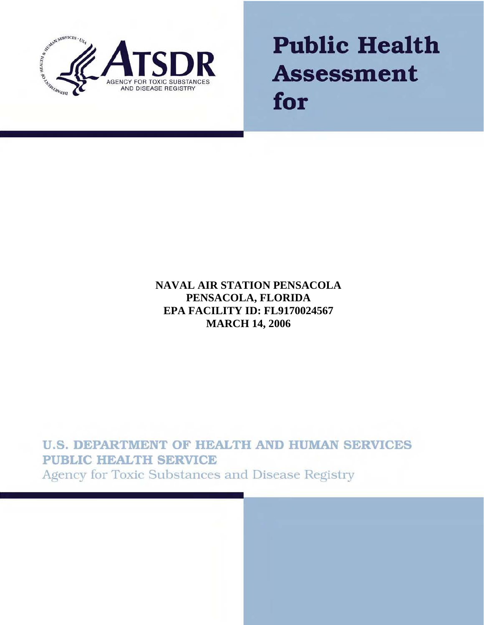

**Public Health Assessment** for

# **NAVAL AIR STATION PENSACOLA PENSACOLA, FLORIDA EPA FACILITY ID: FL9170024567 MARCH 14, 2006**

**U.S. DEPARTMENT OF HEALTH AND HUMAN SERVICES PUBLIC HEALTH SERVICE** Agency for Toxic Substances and Disease Registry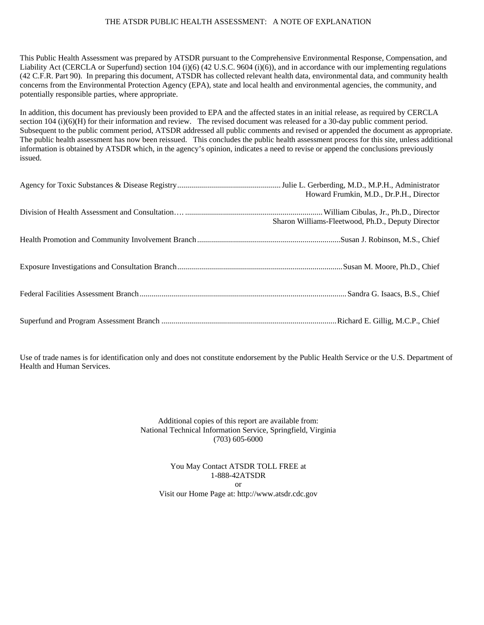#### THE ATSDR PUBLIC HEALTH ASSESSMENT: A NOTE OF EXPLANATION

This Public Health Assessment was prepared by ATSDR pursuant to the Comprehensive Environmental Response, Compensation, and Liability Act (CERCLA or Superfund) section 104 (i)(6) (42 U.S.C. 9604 (i)(6)), and in accordance with our implementing regulations (42 C.F.R. Part 90). In preparing this document, ATSDR has collected relevant health data, environmental data, and community health concerns from the Environmental Protection Agency (EPA), state and local health and environmental agencies, the community, and potentially responsible parties, where appropriate.

In addition, this document has previously been provided to EPA and the affected states in an initial release, as required by CERCLA section 104 (i)(6)(H) for their information and review. The revised document was released for a 30-day public comment period. Subsequent to the public comment period, ATSDR addressed all public comments and revised or appended the document as appropriate. The public health assessment has now been reissued. This concludes the public health assessment process for this site, unless additional information is obtained by ATSDR which, in the agency's opinion, indicates a need to revise or append the conclusions previously issued.

| Howard Frumkin, M.D., Dr.P.H., Director           |
|---------------------------------------------------|
| Sharon Williams-Fleetwood, Ph.D., Deputy Director |
|                                                   |
|                                                   |
|                                                   |
|                                                   |

Use of trade names is for identification only and does not constitute endorsement by the Public Health Service or the U.S. Department of Health and Human Services.

> Additional copies of this report are available from: National Technical Information Service, Springfield, Virginia (703) 605-6000

You May Contact ATSDR TOLL FREE at 1-888-42ATSDR or Visit our Home Page at: http://www.atsdr.cdc.gov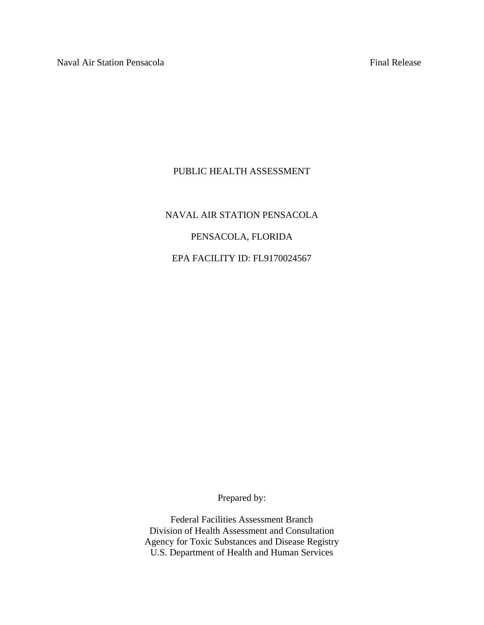#### PUBLIC HEALTH ASSESSMENT

# NAVAL AIR STATION PENSACOLA PENSACOLA, FLORIDA EPA FACILITY ID: FL9170024567

Prepared by:

Federal Facilities Assessment Branch Division of Health Assessment and Consultation Agency for Toxic Substances and Disease Registry U.S. Department of Health and Human Services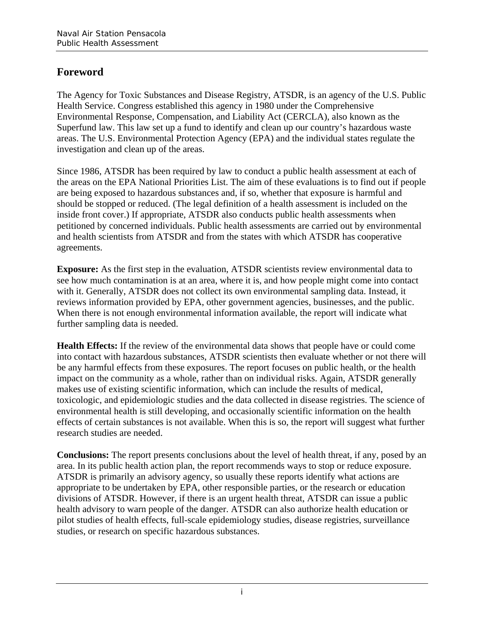# **Foreword**

The Agency for Toxic Substances and Disease Registry, ATSDR, is an agency of the U.S. Public Health Service. Congress established this agency in 1980 under the Comprehensive Environmental Response, Compensation, and Liability Act (CERCLA), also known as the Superfund law. This law set up a fund to identify and clean up our country's hazardous waste areas. The U.S. Environmental Protection Agency (EPA) and the individual states regulate the investigation and clean up of the areas.

Since 1986, ATSDR has been required by law to conduct a public health assessment at each of the areas on the EPA National Priorities List. The aim of these evaluations is to find out if people are being exposed to hazardous substances and, if so, whether that exposure is harmful and should be stopped or reduced. (The legal definition of a health assessment is included on the inside front cover.) If appropriate, ATSDR also conducts public health assessments when petitioned by concerned individuals. Public health assessments are carried out by environmental and health scientists from ATSDR and from the states with which ATSDR has cooperative agreements.

**Exposure:** As the first step in the evaluation, ATSDR scientists review environmental data to see how much contamination is at an area, where it is, and how people might come into contact with it. Generally, ATSDR does not collect its own environmental sampling data. Instead, it reviews information provided by EPA, other government agencies, businesses, and the public. When there is not enough environmental information available, the report will indicate what further sampling data is needed.

**Health Effects:** If the review of the environmental data shows that people have or could come into contact with hazardous substances, ATSDR scientists then evaluate whether or not there will be any harmful effects from these exposures. The report focuses on public health, or the health impact on the community as a whole, rather than on individual risks. Again, ATSDR generally makes use of existing scientific information, which can include the results of medical, toxicologic, and epidemiologic studies and the data collected in disease registries. The science of environmental health is still developing, and occasionally scientific information on the health effects of certain substances is not available. When this is so, the report will suggest what further research studies are needed.

**Conclusions:** The report presents conclusions about the level of health threat, if any, posed by an area. In its public health action plan, the report recommends ways to stop or reduce exposure. ATSDR is primarily an advisory agency, so usually these reports identify what actions are appropriate to be undertaken by EPA, other responsible parties, or the research or education divisions of ATSDR. However, if there is an urgent health threat, ATSDR can issue a public health advisory to warn people of the danger. ATSDR can also authorize health education or pilot studies of health effects, full-scale epidemiology studies, disease registries, surveillance studies, or research on specific hazardous substances.

i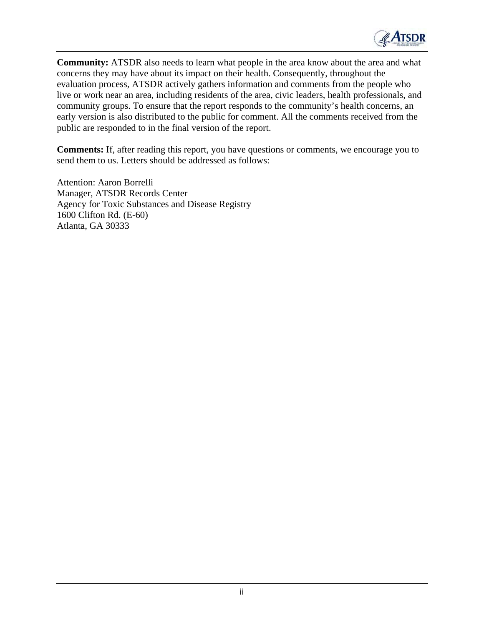

**Community:** ATSDR also needs to learn what people in the area know about the area and what concerns they may have about its impact on their health. Consequently, throughout the evaluation process, ATSDR actively gathers information and comments from the people who live or work near an area, including residents of the area, civic leaders, health professionals, and community groups. To ensure that the report responds to the community's health concerns, an early version is also distributed to the public for comment. All the comments received from the public are responded to in the final version of the report.

**Comments:** If, after reading this report, you have questions or comments, we encourage you to send them to us. Letters should be addressed as follows:

Attention: Aaron Borrelli Manager, ATSDR Records Center Agency for Toxic Substances and Disease Registry 1600 Clifton Rd. (E-60) Atlanta, GA 30333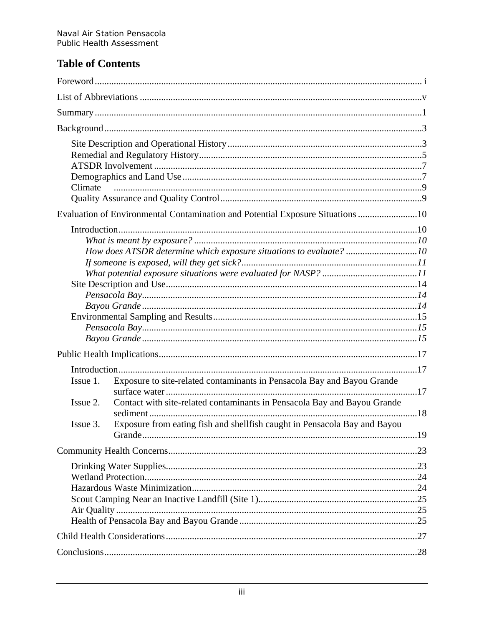# **Table of Contents**

| Climate                                                                                                                                                                                                                                                              |  |
|----------------------------------------------------------------------------------------------------------------------------------------------------------------------------------------------------------------------------------------------------------------------|--|
| Evaluation of Environmental Contamination and Potential Exposure Situations 10                                                                                                                                                                                       |  |
| How does ATSDR determine which exposure situations to evaluate? 10                                                                                                                                                                                                   |  |
|                                                                                                                                                                                                                                                                      |  |
| Exposure to site-related contaminants in Pensacola Bay and Bayou Grande<br>Issue 1.<br>Contact with site-related contaminants in Pensacola Bay and Bayou Grande<br>Issue 2.<br>Exposure from eating fish and shellfish caught in Pensacola Bay and Bayou<br>Issue 3. |  |
|                                                                                                                                                                                                                                                                      |  |
|                                                                                                                                                                                                                                                                      |  |
|                                                                                                                                                                                                                                                                      |  |
|                                                                                                                                                                                                                                                                      |  |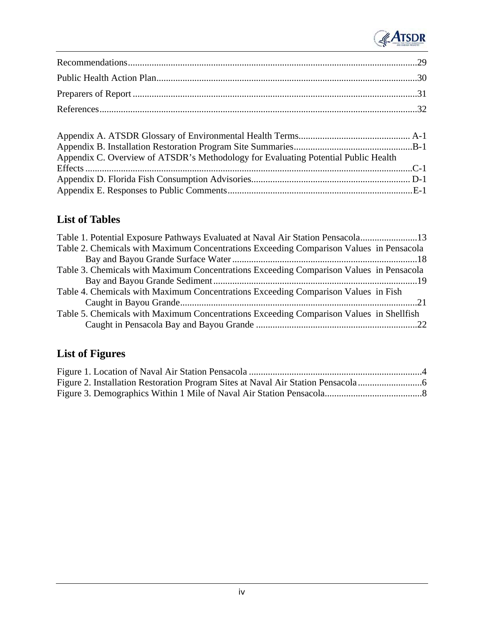

| Appendix C. Overview of ATSDR's Methodology for Evaluating Potential Public Health |  |
|------------------------------------------------------------------------------------|--|
|                                                                                    |  |
|                                                                                    |  |
|                                                                                    |  |

# **List of Tables**

| Table 1. Potential Exposure Pathways Evaluated at Naval Air Station Pensacola13         |  |
|-----------------------------------------------------------------------------------------|--|
| Table 2. Chemicals with Maximum Concentrations Exceeding Comparison Values in Pensacola |  |
|                                                                                         |  |
| Table 3. Chemicals with Maximum Concentrations Exceeding Comparison Values in Pensacola |  |
|                                                                                         |  |
| Table 4. Chemicals with Maximum Concentrations Exceeding Comparison Values in Fish      |  |
|                                                                                         |  |
| Table 5. Chemicals with Maximum Concentrations Exceeding Comparison Values in Shellfish |  |
|                                                                                         |  |

# **List of Figures**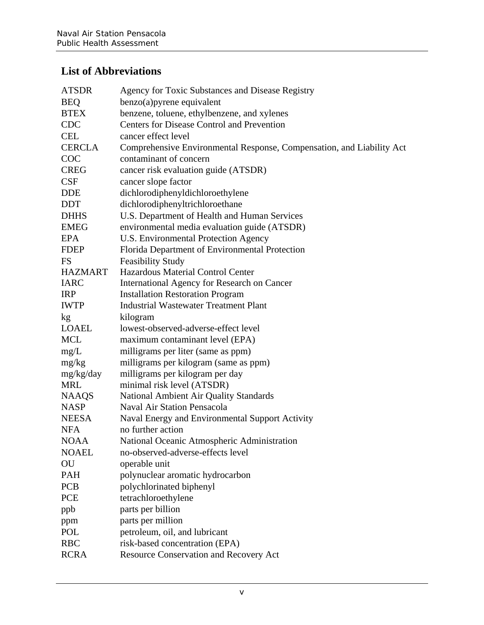# **List of Abbreviations**

| <b>ATSDR</b>   | Agency for Toxic Substances and Disease Registry                      |
|----------------|-----------------------------------------------------------------------|
| <b>BEQ</b>     | $benzo(a)$ pyrene equivalent                                          |
| <b>BTEX</b>    | benzene, toluene, ethylbenzene, and xylenes                           |
| <b>CDC</b>     | <b>Centers for Disease Control and Prevention</b>                     |
| <b>CEL</b>     | cancer effect level                                                   |
| <b>CERCLA</b>  | Comprehensive Environmental Response, Compensation, and Liability Act |
| <b>COC</b>     | contaminant of concern                                                |
| <b>CREG</b>    | cancer risk evaluation guide (ATSDR)                                  |
| CSF            | cancer slope factor                                                   |
| <b>DDE</b>     | dichlorodiphenyldichloroethylene                                      |
| <b>DDT</b>     | dichlorodiphenyltrichloroethane                                       |
| <b>DHHS</b>    | U.S. Department of Health and Human Services                          |
| <b>EMEG</b>    | environmental media evaluation guide (ATSDR)                          |
| EPA            | U.S. Environmental Protection Agency                                  |
| <b>FDEP</b>    | Florida Department of Environmental Protection                        |
| <b>FS</b>      | <b>Feasibility Study</b>                                              |
| <b>HAZMART</b> | Hazardous Material Control Center                                     |
| <b>IARC</b>    | International Agency for Research on Cancer                           |
| <b>IRP</b>     | <b>Installation Restoration Program</b>                               |
| <b>IWTP</b>    | <b>Industrial Wastewater Treatment Plant</b>                          |
| kg             | kilogram                                                              |
| <b>LOAEL</b>   | lowest-observed-adverse-effect level                                  |
| MCL            | maximum contaminant level (EPA)                                       |
| mg/L           | milligrams per liter (same as ppm)                                    |
| mg/kg          | milligrams per kilogram (same as ppm)                                 |
| mg/kg/day      | milligrams per kilogram per day                                       |
| <b>MRL</b>     | minimal risk level (ATSDR)                                            |
| <b>NAAQS</b>   | National Ambient Air Quality Standards                                |
| <b>NASP</b>    | <b>Naval Air Station Pensacola</b>                                    |
| <b>NEESA</b>   | Naval Energy and Environmental Support Activity                       |
| <b>NFA</b>     | no further action                                                     |
| <b>NOAA</b>    | National Oceanic Atmospheric Administration                           |
| <b>NOAEL</b>   | no-observed-adverse-effects level                                     |
| OU             | operable unit                                                         |
| PAH            | polynuclear aromatic hydrocarbon                                      |
| <b>PCB</b>     | polychlorinated biphenyl                                              |
| <b>PCE</b>     | tetrachloroethylene                                                   |
| ppb            | parts per billion                                                     |
| ppm            | parts per million                                                     |
| POL            | petroleum, oil, and lubricant                                         |
| <b>RBC</b>     | risk-based concentration (EPA)                                        |
| <b>RCRA</b>    | <b>Resource Conservation and Recovery Act</b>                         |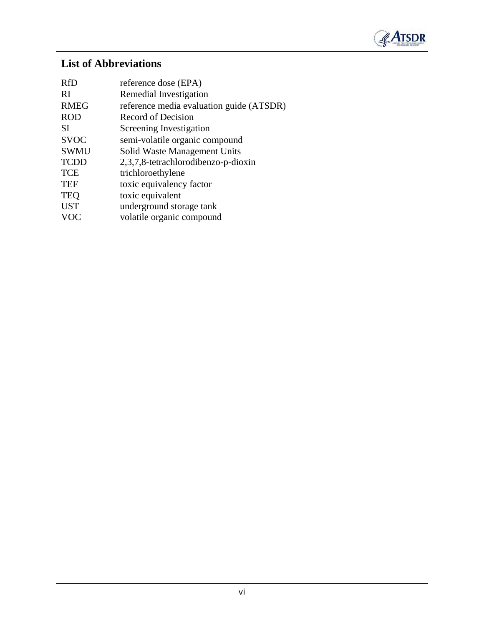

# **List of Abbreviations**

| <b>RfD</b>    | reference dose (EPA)                     |
|---------------|------------------------------------------|
| <sub>RI</sub> | Remedial Investigation                   |
| <b>RMEG</b>   | reference media evaluation guide (ATSDR) |
| <b>ROD</b>    | Record of Decision                       |
| <b>SI</b>     | Screening Investigation                  |
| <b>SVOC</b>   | semi-volatile organic compound           |
| <b>SWMU</b>   | Solid Waste Management Units             |
| <b>TCDD</b>   | 2,3,7,8-tetrachlorodibenzo-p-dioxin      |
| <b>TCE</b>    | trichloroethylene                        |
| <b>TEF</b>    | toxic equivalency factor                 |
| <b>TEQ</b>    | toxic equivalent                         |
| <b>UST</b>    | underground storage tank                 |
| <b>VOC</b>    | volatile organic compound                |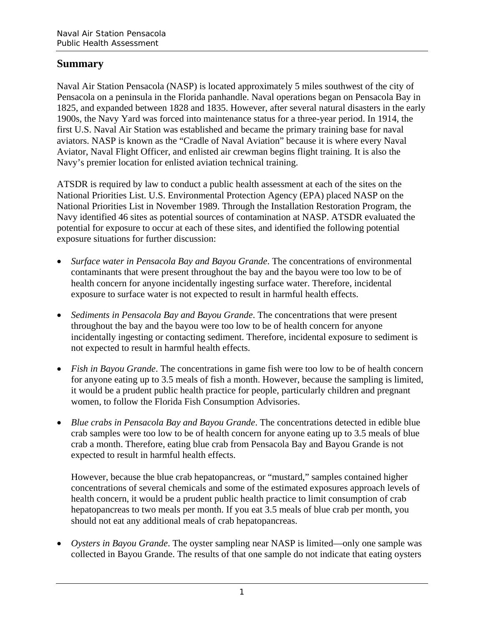## **Summary**

Naval Air Station Pensacola (NASP) is located approximately 5 miles southwest of the city of Pensacola on a peninsula in the Florida panhandle. Naval operations began on Pensacola Bay in 1825, and expanded between 1828 and 1835. However, after several natural disasters in the early 1900s, the Navy Yard was forced into maintenance status for a three-year period. In 1914, the first U.S. Naval Air Station was established and became the primary training base for naval aviators. NASP is known as the "Cradle of Naval Aviation" because it is where every Naval Aviator, Naval Flight Officer, and enlisted air crewman begins flight training. It is also the Navy's premier location for enlisted aviation technical training.

ATSDR is required by law to conduct a public health assessment at each of the sites on the National Priorities List. U.S. Environmental Protection Agency (EPA) placed NASP on the National Priorities List in November 1989. Through the Installation Restoration Program, the Navy identified 46 sites as potential sources of contamination at NASP. ATSDR evaluated the potential for exposure to occur at each of these sites, and identified the following potential exposure situations for further discussion:

- *Surface water in Pensacola Bay and Bayou Grande*. The concentrations of environmental contaminants that were present throughout the bay and the bayou were too low to be of health concern for anyone incidentally ingesting surface water. Therefore, incidental exposure to surface water is not expected to result in harmful health effects.
- Sediments in Pensacola Bay and Bayou Grande. The concentrations that were present throughout the bay and the bayou were too low to be of health concern for anyone incidentally ingesting or contacting sediment. Therefore, incidental exposure to sediment is not expected to result in harmful health effects.
- *Fish in Bayou Grande*. The concentrations in game fish were too low to be of health concern for anyone eating up to 3.5 meals of fish a month. However, because the sampling is limited, it would be a prudent public health practice for people, particularly children and pregnant women, to follow the Florida Fish Consumption Advisories.
- *Blue crabs in Pensacola Bay and Bayou Grande*. The concentrations detected in edible blue crab samples were too low to be of health concern for anyone eating up to 3.5 meals of blue crab a month. Therefore, eating blue crab from Pensacola Bay and Bayou Grande is not expected to result in harmful health effects.

However, because the blue crab hepatopancreas, or "mustard," samples contained higher concentrations of several chemicals and some of the estimated exposures approach levels of health concern, it would be a prudent public health practice to limit consumption of crab hepatopancreas to two meals per month. If you eat 3.5 meals of blue crab per month, you should not eat any additional meals of crab hepatopancreas.

• *Oysters in Bayou Grande*. The oyster sampling near NASP is limited—only one sample was collected in Bayou Grande. The results of that one sample do not indicate that eating oysters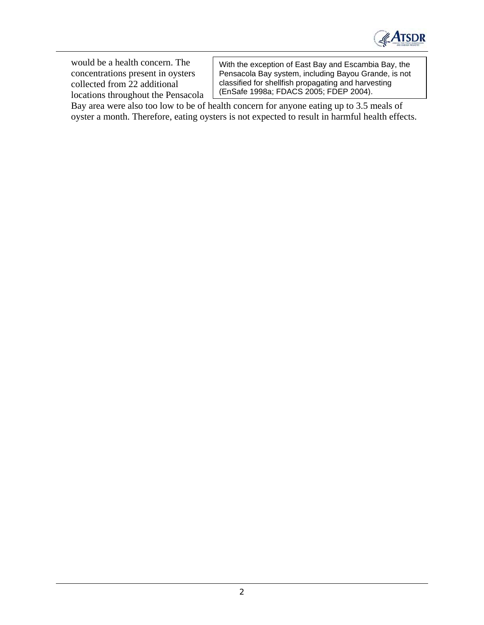

locations throughout the Pensacola

would be a health concern. The With the exception of East Bay and Escambia Bay, the concentrations present in oysters Pensacola Bay system, including Bayou Grande, is not Pensacola Bay system, including Bayou Grande, is not collected from 22 additional classified for shellfish propagating and harvesting<br>locations throughout the Pensacola (EnSafe 1998a; FDACS 2005; FDEP 2004).

Bay area were also too low to be of health concern for anyone eating up to 3.5 meals of oyster a month. Therefore, eating oysters is not expected to result in harmful health effects.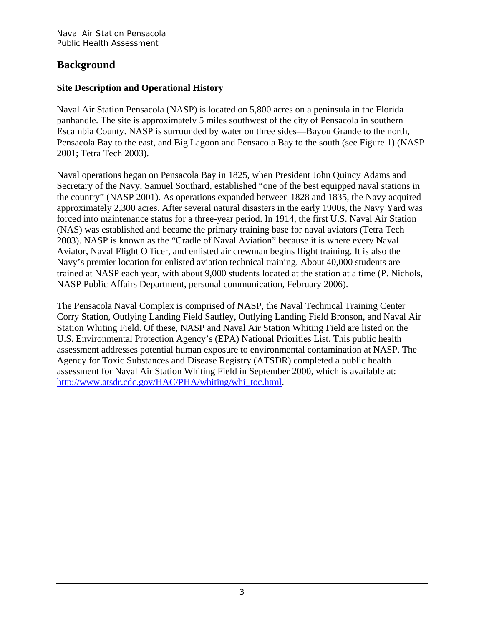# **Background**

#### **Site Description and Operational History**

Naval Air Station Pensacola (NASP) is located on 5,800 acres on a peninsula in the Florida panhandle. The site is approximately 5 miles southwest of the city of Pensacola in southern Escambia County. NASP is surrounded by water on three sides—Bayou Grande to the north, Pensacola Bay to the east, and Big Lagoon and Pensacola Bay to the south (see Figure 1) (NASP 2001; Tetra Tech 2003).

Naval operations began on Pensacola Bay in 1825, when President John Quincy Adams and Secretary of the Navy, Samuel Southard, established "one of the best equipped naval stations in the country" (NASP 2001). As operations expanded between 1828 and 1835, the Navy acquired approximately 2,300 acres. After several natural disasters in the early 1900s, the Navy Yard was forced into maintenance status for a three-year period. In 1914, the first U.S. Naval Air Station (NAS) was established and became the primary training base for naval aviators (Tetra Tech 2003). NASP is known as the "Cradle of Naval Aviation" because it is where every Naval Aviator, Naval Flight Officer, and enlisted air crewman begins flight training. It is also the Navy's premier location for enlisted aviation technical training. About 40,000 students are trained at NASP each year, with about 9,000 students located at the station at a time (P. Nichols, NASP Public Affairs Department, personal communication, February 2006).

The Pensacola Naval Complex is comprised of NASP, the Naval Technical Training Center Corry Station, Outlying Landing Field Saufley, Outlying Landing Field Bronson, and Naval Air Station Whiting Field. Of these, NASP and Naval Air Station Whiting Field are listed on the U.S. Environmental Protection Agency's (EPA) National Priorities List. This public health assessment addresses potential human exposure to environmental contamination at NASP. The Agency for Toxic Substances and Disease Registry (ATSDR) completed a public health assessment for Naval Air Station Whiting Field in September 2000, which is available at: http://www.atsdr.cdc.gov/HAC/PHA/whiting/whi\_toc.html.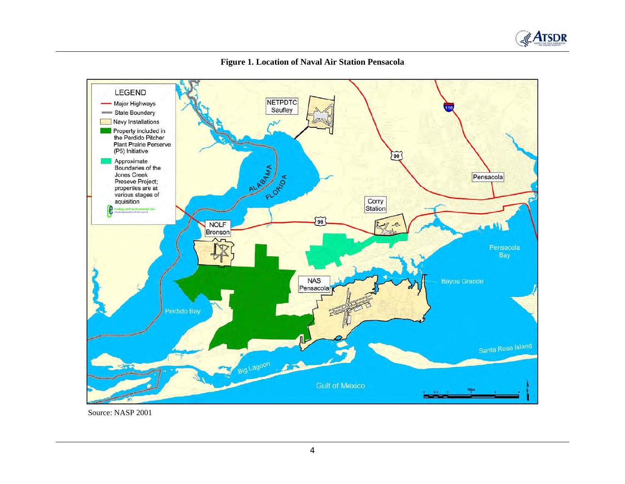



**Figure 1. Location of Naval Air Station Pensacola** 

Source: NASP 2001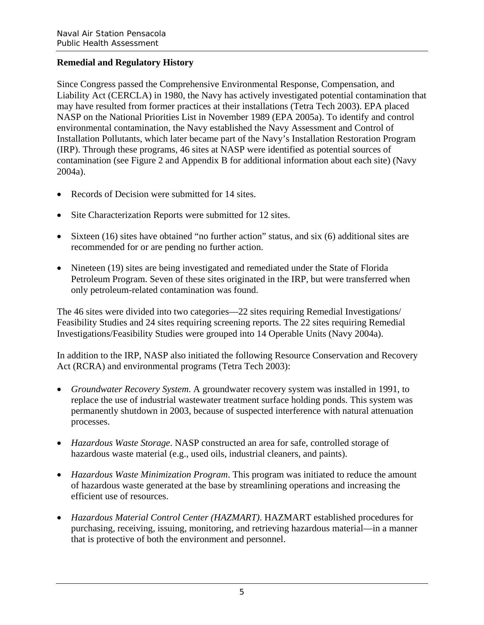#### **Remedial and Regulatory History**

Since Congress passed the Comprehensive Environmental Response, Compensation, and Liability Act (CERCLA) in 1980, the Navy has actively investigated potential contamination that may have resulted from former practices at their installations (Tetra Tech 2003). EPA placed NASP on the National Priorities List in November 1989 (EPA 2005a). To identify and control environmental contamination, the Navy established the Navy Assessment and Control of Installation Pollutants, which later became part of the Navy's Installation Restoration Program (IRP). Through these programs, 46 sites at NASP were identified as potential sources of contamination (see Figure 2 and Appendix B for additional information about each site) (Navy 2004a).

- Records of Decision were submitted for 14 sites.
- Site Characterization Reports were submitted for 12 sites.
- Sixteen (16) sites have obtained "no further action" status, and six (6) additional sites are recommended for or are pending no further action.
- Nineteen (19) sites are being investigated and remediated under the State of Florida Petroleum Program. Seven of these sites originated in the IRP, but were transferred when only petroleum-related contamination was found.

The 46 sites were divided into two categories—22 sites requiring Remedial Investigations/ Feasibility Studies and 24 sites requiring screening reports. The 22 sites requiring Remedial Investigations/Feasibility Studies were grouped into 14 Operable Units (Navy 2004a).

In addition to the IRP, NASP also initiated the following Resource Conservation and Recovery Act (RCRA) and environmental programs (Tetra Tech 2003):

- Groundwater Recovery System. A groundwater recovery system was installed in 1991, to replace the use of industrial wastewater treatment surface holding ponds. This system was permanently shutdown in 2003, because of suspected interference with natural attenuation processes.
- • *Hazardous Waste Storage*. NASP constructed an area for safe, controlled storage of hazardous waste material (e.g., used oils, industrial cleaners, and paints).
- *Hazardous Waste Minimization Program*. This program was initiated to reduce the amount of hazardous waste generated at the base by streamlining operations and increasing the efficient use of resources.
- • *Hazardous Material Control Center (HAZMART)*. HAZMART established procedures for purchasing, receiving, issuing, monitoring, and retrieving hazardous material—in a manner that is protective of both the environment and personnel.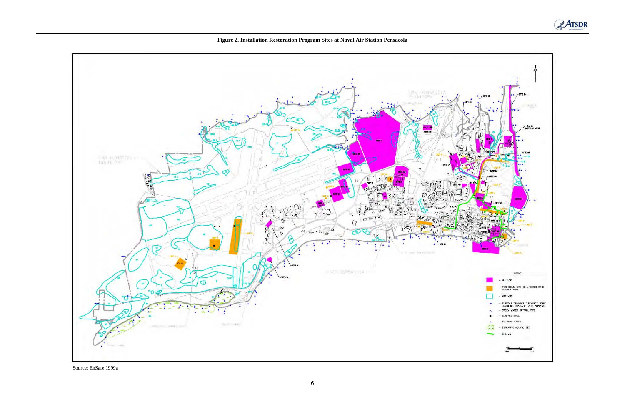

**Figure 2. Installation Restoration Program Sites at Naval Air Station Pensacola** 

Source: EnSafe 1999a

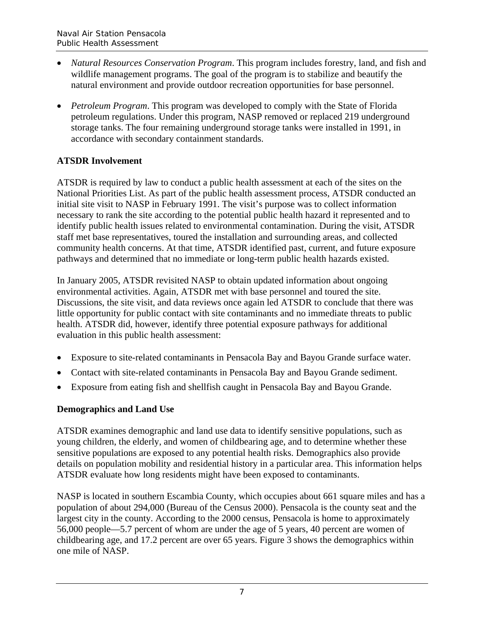- • *Natural Resources Conservation Program*. This program includes forestry, land, and fish and wildlife management programs. The goal of the program is to stabilize and beautify the natural environment and provide outdoor recreation opportunities for base personnel.
- *Petroleum Program*. This program was developed to comply with the State of Florida petroleum regulations. Under this program, NASP removed or replaced 219 underground storage tanks. The four remaining underground storage tanks were installed in 1991, in accordance with secondary containment standards.

## **ATSDR Involvement**

ATSDR is required by law to conduct a public health assessment at each of the sites on the National Priorities List. As part of the public health assessment process, ATSDR conducted an initial site visit to NASP in February 1991. The visit's purpose was to collect information necessary to rank the site according to the potential public health hazard it represented and to identify public health issues related to environmental contamination. During the visit, ATSDR staff met base representatives, toured the installation and surrounding areas, and collected community health concerns. At that time, ATSDR identified past, current, and future exposure pathways and determined that no immediate or long-term public health hazards existed.

In January 2005, ATSDR revisited NASP to obtain updated information about ongoing environmental activities. Again, ATSDR met with base personnel and toured the site. Discussions, the site visit, and data reviews once again led ATSDR to conclude that there was little opportunity for public contact with site contaminants and no immediate threats to public health. ATSDR did, however, identify three potential exposure pathways for additional evaluation in this public health assessment:

- Exposure to site-related contaminants in Pensacola Bay and Bayou Grande surface water.
- Contact with site-related contaminants in Pensacola Bay and Bayou Grande sediment.
- Exposure from eating fish and shellfish caught in Pensacola Bay and Bayou Grande.

## **Demographics and Land Use**

ATSDR examines demographic and land use data to identify sensitive populations, such as young children, the elderly, and women of childbearing age, and to determine whether these sensitive populations are exposed to any potential health risks. Demographics also provide details on population mobility and residential history in a particular area. This information helps ATSDR evaluate how long residents might have been exposed to contaminants.

NASP is located in southern Escambia County, which occupies about 661 square miles and has a population of about 294,000 (Bureau of the Census 2000). Pensacola is the county seat and the largest city in the county. According to the 2000 census, Pensacola is home to approximately 56,000 people—5.7 percent of whom are under the age of 5 years, 40 percent are women of childbearing age, and 17.2 percent are over 65 years. Figure 3 shows the demographics within one mile of NASP.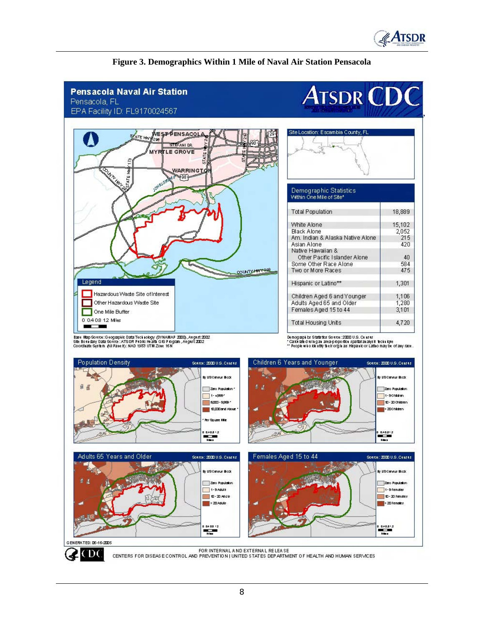



#### **Figure 3. Demographics Within 1 Mile of Naval Air Station Pensacola**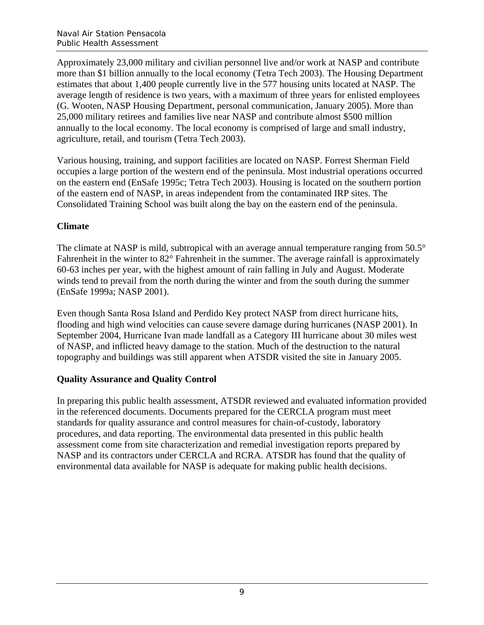Approximately 23,000 military and civilian personnel live and/or work at NASP and contribute more than \$1 billion annually to the local economy (Tetra Tech 2003). The Housing Department estimates that about 1,400 people currently live in the 577 housing units located at NASP. The average length of residence is two years, with a maximum of three years for enlisted employees (G. Wooten, NASP Housing Department, personal communication, January 2005). More than 25,000 military retirees and families live near NASP and contribute almost \$500 million annually to the local economy. The local economy is comprised of large and small industry, agriculture, retail, and tourism (Tetra Tech 2003).

Various housing, training, and support facilities are located on NASP. Forrest Sherman Field occupies a large portion of the western end of the peninsula. Most industrial operations occurred on the eastern end (EnSafe 1995c; Tetra Tech 2003). Housing is located on the southern portion of the eastern end of NASP, in areas independent from the contaminated IRP sites. The Consolidated Training School was built along the bay on the eastern end of the peninsula.

#### **Climate**

The climate at NASP is mild, subtropical with an average annual temperature ranging from 50.5° Fahrenheit in the winter to 82° Fahrenheit in the summer. The average rainfall is approximately 60-63 inches per year, with the highest amount of rain falling in July and August. Moderate winds tend to prevail from the north during the winter and from the south during the summer (EnSafe 1999a; NASP 2001).

Even though Santa Rosa Island and Perdido Key protect NASP from direct hurricane hits, flooding and high wind velocities can cause severe damage during hurricanes (NASP 2001). In September 2004, Hurricane Ivan made landfall as a Category III hurricane about 30 miles west of NASP, and inflicted heavy damage to the station. Much of the destruction to the natural topography and buildings was still apparent when ATSDR visited the site in January 2005.

## **Quality Assurance and Quality Control**

In preparing this public health assessment, ATSDR reviewed and evaluated information provided in the referenced documents. Documents prepared for the CERCLA program must meet standards for quality assurance and control measures for chain-of-custody, laboratory procedures, and data reporting. The environmental data presented in this public health assessment come from site characterization and remedial investigation reports prepared by NASP and its contractors under CERCLA and RCRA. ATSDR has found that the quality of environmental data available for NASP is adequate for making public health decisions.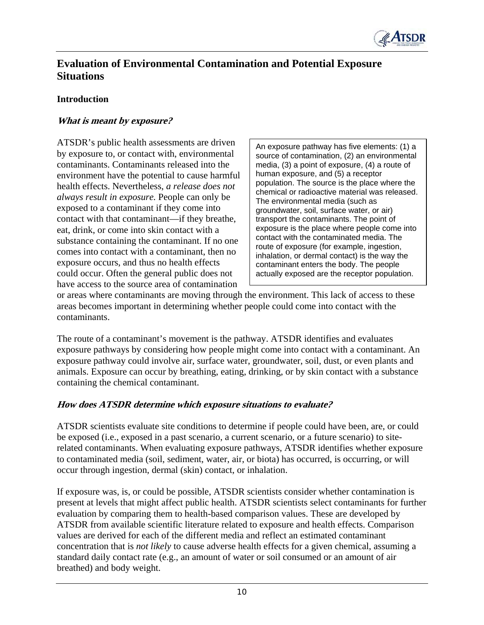

# **Evaluation of Environmental Contamination and Potential Exposure Situations**

#### **Introduction**

#### **What is meant by exposure?**

ATSDR's public health assessments are driven by exposure to, or contact with, environmental contaminants. Contaminants released into the environment have the potential to cause harmful health effects. Nevertheless, *a release does not always result in exposure.* People can only be exposed to a contaminant if they come into contact with that contaminant—if they breathe, eat, drink, or come into skin contact with a substance containing the contaminant. If no one comes into contact with a contaminant, then no exposure occurs, and thus no health effects could occur. Often the general public does not have access to the source area of contamination

An exposure pathway has five elements: (1) a source of contamination, (2) an environmental media, (3) a point of exposure, (4) a route of human exposure, and (5) a receptor population. The source is the place where the chemical or radioactive material was released. The environmental media (such as groundwater, soil, surface water, or air) transport the contaminants. The point of exposure is the place where people come into contact with the contaminated media. The route of exposure (for example, ingestion, inhalation, or dermal contact) is the way the contaminant enters the body. The people actually exposed are the receptor population.

or areas where contaminants are moving through the environment. This lack of access to these areas becomes important in determining whether people could come into contact with the contaminants.

The route of a contaminant's movement is the pathway. ATSDR identifies and evaluates exposure pathways by considering how people might come into contact with a contaminant. An exposure pathway could involve air, surface water, groundwater, soil, dust, or even plants and animals. Exposure can occur by breathing, eating, drinking, or by skin contact with a substance containing the chemical contaminant.

#### **How does ATSDR determine which exposure situations to evaluate?**

ATSDR scientists evaluate site conditions to determine if people could have been, are, or could be exposed (i.e., exposed in a past scenario, a current scenario, or a future scenario) to siterelated contaminants. When evaluating exposure pathways, ATSDR identifies whether exposure to contaminated media (soil, sediment, water, air, or biota) has occurred, is occurring, or will occur through ingestion, dermal (skin) contact, or inhalation.

If exposure was, is, or could be possible, ATSDR scientists consider whether contamination is present at levels that might affect public health. ATSDR scientists select contaminants for further evaluation by comparing them to health-based comparison values. These are developed by ATSDR from available scientific literature related to exposure and health effects. Comparison values are derived for each of the different media and reflect an estimated contaminant concentration that is *not likely* to cause adverse health effects for a given chemical, assuming a standard daily contact rate (e.g., an amount of water or soil consumed or an amount of air breathed) and body weight.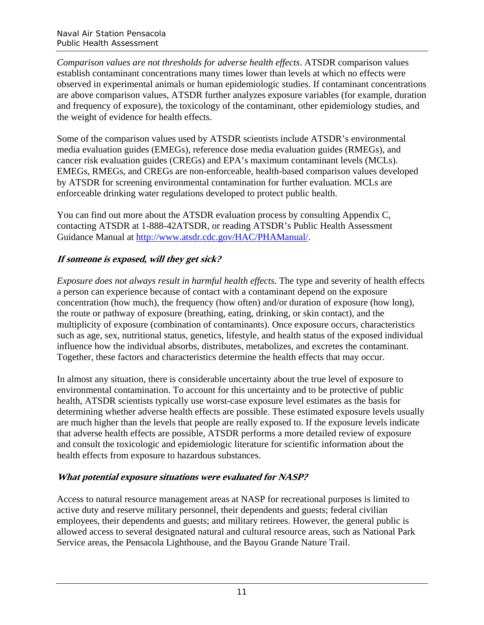*Comparison values are not thresholds for adverse health effects*. ATSDR comparison values establish contaminant concentrations many times lower than levels at which no effects were observed in experimental animals or human epidemiologic studies. If contaminant concentrations are above comparison values, ATSDR further analyzes exposure variables (for example, duration and frequency of exposure), the toxicology of the contaminant, other epidemiology studies, and the weight of evidence for health effects.

Some of the comparison values used by ATSDR scientists include ATSDR's environmental media evaluation guides (EMEGs), reference dose media evaluation guides (RMEGs), and cancer risk evaluation guides (CREGs) and EPA's maximum contaminant levels (MCLs). EMEGs, RMEGs, and CREGs are non-enforceable, health-based comparison values developed by ATSDR for screening environmental contamination for further evaluation. MCLs are enforceable drinking water regulations developed to protect public health.

You can find out more about the ATSDR evaluation process by consulting Appendix C, contacting ATSDR at 1-888-42ATSDR, or reading ATSDR's Public Health Assessment Guidance Manual at http://www.atsdr.cdc.gov/HAC/PHAManual/.

## **If someone is exposed, will they get sick?**

*Exposure does not always result in harmful health effects*. The type and severity of health effects a person can experience because of contact with a contaminant depend on the exposure concentration (how much), the frequency (how often) and/or duration of exposure (how long), the route or pathway of exposure (breathing, eating, drinking, or skin contact), and the multiplicity of exposure (combination of contaminants). Once exposure occurs, characteristics such as age, sex, nutritional status, genetics, lifestyle, and health status of the exposed individual influence how the individual absorbs, distributes, metabolizes, and excretes the contaminant. Together, these factors and characteristics determine the health effects that may occur.

In almost any situation, there is considerable uncertainty about the true level of exposure to environmental contamination. To account for this uncertainty and to be protective of public health, ATSDR scientists typically use worst-case exposure level estimates as the basis for determining whether adverse health effects are possible. These estimated exposure levels usually are much higher than the levels that people are really exposed to. If the exposure levels indicate that adverse health effects are possible, ATSDR performs a more detailed review of exposure and consult the toxicologic and epidemiologic literature for scientific information about the health effects from exposure to hazardous substances.

## **What potential exposure situations were evaluated for NASP?**

Access to natural resource management areas at NASP for recreational purposes is limited to active duty and reserve military personnel, their dependents and guests; federal civilian employees, their dependents and guests; and military retirees. However, the general public is allowed access to several designated natural and cultural resource areas, such as National Park Service areas, the Pensacola Lighthouse, and the Bayou Grande Nature Trail.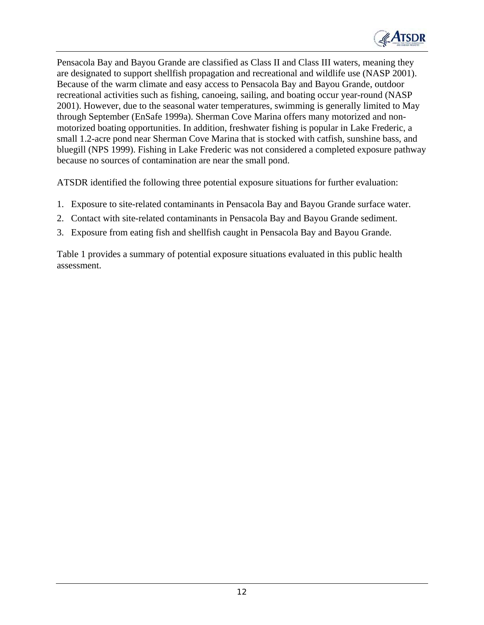

Pensacola Bay and Bayou Grande are classified as Class II and Class III waters, meaning they are designated to support shellfish propagation and recreational and wildlife use (NASP 2001). Because of the warm climate and easy access to Pensacola Bay and Bayou Grande, outdoor recreational activities such as fishing, canoeing, sailing, and boating occur year-round (NASP 2001). However, due to the seasonal water temperatures, swimming is generally limited to May through September (EnSafe 1999a). Sherman Cove Marina offers many motorized and nonmotorized boating opportunities. In addition, freshwater fishing is popular in Lake Frederic, a small 1.2-acre pond near Sherman Cove Marina that is stocked with catfish, sunshine bass, and bluegill (NPS 1999). Fishing in Lake Frederic was not considered a completed exposure pathway because no sources of contamination are near the small pond.

ATSDR identified the following three potential exposure situations for further evaluation:

- 1. Exposure to site-related contaminants in Pensacola Bay and Bayou Grande surface water.
- 2. Contact with site-related contaminants in Pensacola Bay and Bayou Grande sediment.
- 3. Exposure from eating fish and shellfish caught in Pensacola Bay and Bayou Grande.

Table 1 provides a summary of potential exposure situations evaluated in this public health assessment.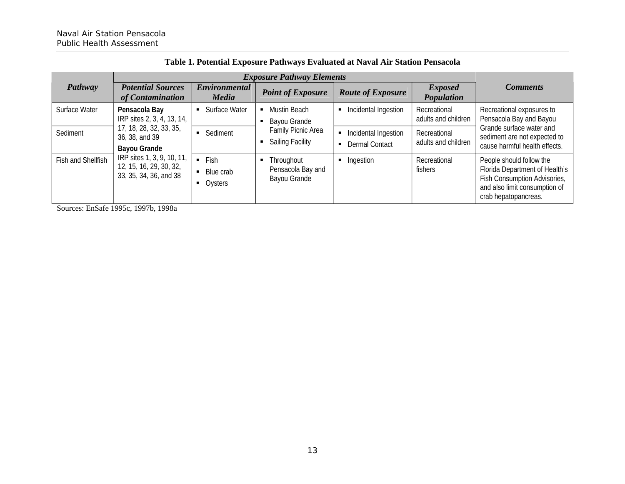|                    | <b>Exposure Pathway Elements</b>                                                                                                                    |                                                    |                                                      |                                                    |                                               |                                                                                                                                                     |                                                                                           |
|--------------------|-----------------------------------------------------------------------------------------------------------------------------------------------------|----------------------------------------------------|------------------------------------------------------|----------------------------------------------------|-----------------------------------------------|-----------------------------------------------------------------------------------------------------------------------------------------------------|-------------------------------------------------------------------------------------------|
| Pathway            | <b>Potential Sources</b><br>of Contamination                                                                                                        | <b>Environmental</b><br><b>Media</b>               | <b>Point of Exposure</b>                             | <b>Route of Exposure</b>                           | <b>Exposed</b><br>Population                  | <b>Comments</b>                                                                                                                                     |                                                                                           |
| Surface Water      | Pensacola Bay<br>IRP sites 2, 3, 4, 13, 14,                                                                                                         | Surface Water<br>$\blacksquare$                    | Mustin Beach<br>п.<br>Bayou Grande<br>$\blacksquare$ | Incidental Ingestion                               | Recreational<br>adults and children           | Recreational exposures to<br>Pensacola Bay and Bayou                                                                                                |                                                                                           |
| Sediment           | 17, 18, 28, 32, 33, 35,<br>36, 38, and 39<br><b>Bayou Grande</b><br>IRP sites 1, 3, 9, 10, 11,<br>12, 15, 16, 29, 30, 32,<br>33, 35, 34, 36, and 38 |                                                    | Sediment                                             | Family Picnic Area<br><b>Sailing Facility</b><br>٠ | Incidental Ingestion<br><b>Dermal Contact</b> | Recreational<br>adults and children                                                                                                                 | Grande surface water and<br>sediment are not expected to<br>cause harmful health effects. |
| Fish and Shellfish |                                                                                                                                                     | $-$ Fish<br>Blue crab<br>Oysters<br>$\blacksquare$ | • Throughout<br>Pensacola Bay and<br>Bayou Grande    | Ingestion                                          | Recreational<br>fishers                       | People should follow the<br>Florida Department of Health's<br>Fish Consumption Advisories,<br>and also limit consumption of<br>crab hepatopancreas. |                                                                                           |

**Table 1. Potential Exposure Pathways Evaluated at Naval Air Station Pensacola** 

Sources: EnSafe 1995c, 1997b, 1998a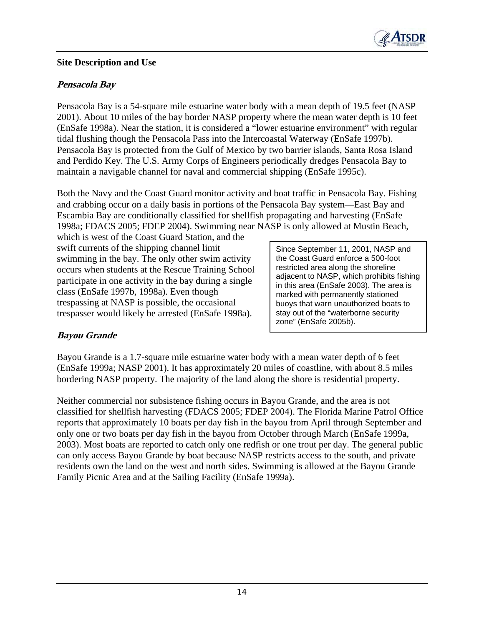

#### **Site Description and Use**

#### **Pensacola Bay**

Pensacola Bay is a 54-square mile estuarine water body with a mean depth of 19.5 feet (NASP 2001). About 10 miles of the bay border NASP property where the mean water depth is 10 feet (EnSafe 1998a). Near the station, it is considered a "lower estuarine environment" with regular tidal flushing though the Pensacola Pass into the Intercoastal Waterway (EnSafe 1997b). Pensacola Bay is protected from the Gulf of Mexico by two barrier islands, Santa Rosa Island and Perdido Key. The U.S. Army Corps of Engineers periodically dredges Pensacola Bay to maintain a navigable channel for naval and commercial shipping (EnSafe 1995c).

Both the Navy and the Coast Guard monitor activity and boat traffic in Pensacola Bay. Fishing and crabbing occur on a daily basis in portions of the Pensacola Bay system—East Bay and Escambia Bay are conditionally classified for shellfish propagating and harvesting (EnSafe 1998a; FDACS 2005; FDEP 2004). Swimming near NASP is only allowed at Mustin Beach,

which is west of the Coast Guard Station, and the swift currents of the shipping channel limit <br>Since September 11, 2001, NASP and swimming in the bay. The only other swim activity the Coast Guard enforce a 500-foot occurs when students at the Rescue Training School restricted area along the shoreline occurs when students at the Rescue Training School restricted area along the shoreline<br>restrictions in an estimity in the hory during estimate allowed adjacent to NASP, which prohibits fishing participate in one activity in the bay during a single  $\left| \begin{array}{c} \text{adjacent to NASP, which points is finite} \\ \text{in this area (EnSafe 2003).} \end{array} \right|$ class (EnSafe 1997b, 1998a). Even though marked with permanently stationed trespassing at NASP is possible, the occasional buoys that warn unauthorized boats to trespasser would likely be arrested  $(EnSafe 1998a)$ .  $|$  stay out of the "waterborne security

zone" (EnSafe 2005b).

## **Bayou Grande**

Bayou Grande is a 1.7-square mile estuarine water body with a mean water depth of 6 feet (EnSafe 1999a; NASP 2001). It has approximately 20 miles of coastline, with about 8.5 miles bordering NASP property. The majority of the land along the shore is residential property.

Neither commercial nor subsistence fishing occurs in Bayou Grande, and the area is not classified for shellfish harvesting (FDACS 2005; FDEP 2004). The Florida Marine Patrol Office reports that approximately 10 boats per day fish in the bayou from April through September and only one or two boats per day fish in the bayou from October through March (EnSafe 1999a, 2003). Most boats are reported to catch only one redfish or one trout per day. The general public can only access Bayou Grande by boat because NASP restricts access to the south, and private residents own the land on the west and north sides. Swimming is allowed at the Bayou Grande Family Picnic Area and at the Sailing Facility (EnSafe 1999a).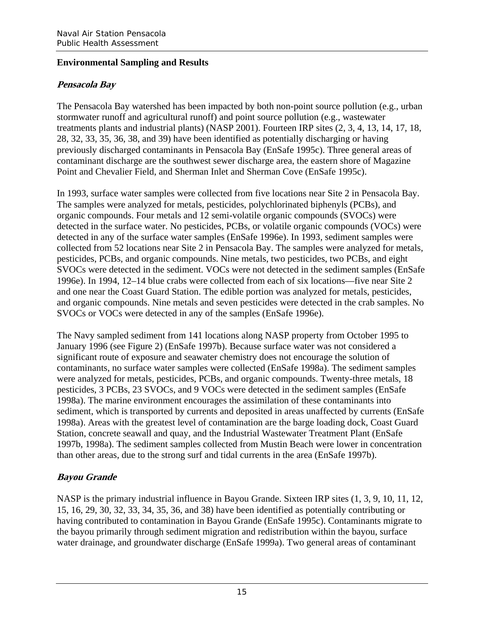## **Environmental Sampling and Results**

## **Pensacola Bay**

The Pensacola Bay watershed has been impacted by both non-point source pollution (e.g., urban stormwater runoff and agricultural runoff) and point source pollution (e.g., wastewater treatments plants and industrial plants) (NASP 2001). Fourteen IRP sites (2, 3, 4, 13, 14, 17, 18, 28, 32, 33, 35, 36, 38, and 39) have been identified as potentially discharging or having previously discharged contaminants in Pensacola Bay (EnSafe 1995c). Three general areas of contaminant discharge are the southwest sewer discharge area, the eastern shore of Magazine Point and Chevalier Field, and Sherman Inlet and Sherman Cove (EnSafe 1995c).

In 1993, surface water samples were collected from five locations near Site 2 in Pensacola Bay. The samples were analyzed for metals, pesticides, polychlorinated biphenyls (PCBs), and organic compounds. Four metals and 12 semi-volatile organic compounds (SVOCs) were detected in the surface water. No pesticides, PCBs, or volatile organic compounds (VOCs) were detected in any of the surface water samples (EnSafe 1996e). In 1993, sediment samples were collected from 52 locations near Site 2 in Pensacola Bay. The samples were analyzed for metals, pesticides, PCBs, and organic compounds. Nine metals, two pesticides, two PCBs, and eight SVOCs were detected in the sediment. VOCs were not detected in the sediment samples (EnSafe 1996e). In 1994, 12–14 blue crabs were collected from each of six locations—five near Site 2 and one near the Coast Guard Station. The edible portion was analyzed for metals, pesticides, and organic compounds. Nine metals and seven pesticides were detected in the crab samples. No SVOCs or VOCs were detected in any of the samples (EnSafe 1996e).

The Navy sampled sediment from 141 locations along NASP property from October 1995 to January 1996 (see Figure 2) (EnSafe 1997b). Because surface water was not considered a significant route of exposure and seawater chemistry does not encourage the solution of contaminants, no surface water samples were collected (EnSafe 1998a). The sediment samples were analyzed for metals, pesticides, PCBs, and organic compounds. Twenty-three metals, 18 pesticides, 3 PCBs, 23 SVOCs, and 9 VOCs were detected in the sediment samples (EnSafe 1998a). The marine environment encourages the assimilation of these contaminants into sediment, which is transported by currents and deposited in areas unaffected by currents (EnSafe 1998a). Areas with the greatest level of contamination are the barge loading dock, Coast Guard Station, concrete seawall and quay, and the Industrial Wastewater Treatment Plant (EnSafe 1997b, 1998a). The sediment samples collected from Mustin Beach were lower in concentration than other areas, due to the strong surf and tidal currents in the area (EnSafe 1997b).

## **Bayou Grande**

NASP is the primary industrial influence in Bayou Grande. Sixteen IRP sites (1, 3, 9, 10, 11, 12, 15, 16, 29, 30, 32, 33, 34, 35, 36, and 38) have been identified as potentially contributing or having contributed to contamination in Bayou Grande (EnSafe 1995c). Contaminants migrate to the bayou primarily through sediment migration and redistribution within the bayou, surface water drainage, and groundwater discharge (EnSafe 1999a). Two general areas of contaminant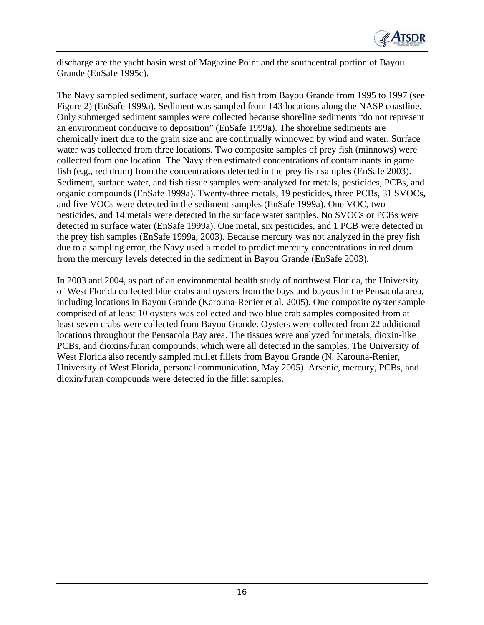

discharge are the yacht basin west of Magazine Point and the southcentral portion of Bayou Grande (EnSafe 1995c).

The Navy sampled sediment, surface water, and fish from Bayou Grande from 1995 to 1997 (see Figure 2) (EnSafe 1999a). Sediment was sampled from 143 locations along the NASP coastline. Only submerged sediment samples were collected because shoreline sediments "do not represent an environment conducive to deposition" (EnSafe 1999a). The shoreline sediments are chemically inert due to the grain size and are continually winnowed by wind and water. Surface water was collected from three locations. Two composite samples of prey fish (minnows) were collected from one location. The Navy then estimated concentrations of contaminants in game fish (e.g., red drum) from the concentrations detected in the prey fish samples (EnSafe 2003). Sediment, surface water, and fish tissue samples were analyzed for metals, pesticides, PCBs, and organic compounds (EnSafe 1999a). Twenty-three metals, 19 pesticides, three PCBs, 31 SVOCs, and five VOCs were detected in the sediment samples (EnSafe 1999a). One VOC, two pesticides, and 14 metals were detected in the surface water samples. No SVOCs or PCBs were detected in surface water (EnSafe 1999a). One metal, six pesticides, and 1 PCB were detected in the prey fish samples (EnSafe 1999a, 2003). Because mercury was not analyzed in the prey fish due to a sampling error, the Navy used a model to predict mercury concentrations in red drum from the mercury levels detected in the sediment in Bayou Grande (EnSafe 2003).

In 2003 and 2004, as part of an environmental health study of northwest Florida, the University of West Florida collected blue crabs and oysters from the bays and bayous in the Pensacola area, including locations in Bayou Grande (Karouna-Renier et al. 2005). One composite oyster sample comprised of at least 10 oysters was collected and two blue crab samples composited from at least seven crabs were collected from Bayou Grande. Oysters were collected from 22 additional locations throughout the Pensacola Bay area. The tissues were analyzed for metals, dioxin-like PCBs, and dioxins/furan compounds, which were all detected in the samples. The University of West Florida also recently sampled mullet fillets from Bayou Grande (N. Karouna-Renier, University of West Florida, personal communication, May 2005). Arsenic, mercury, PCBs, and dioxin/furan compounds were detected in the fillet samples.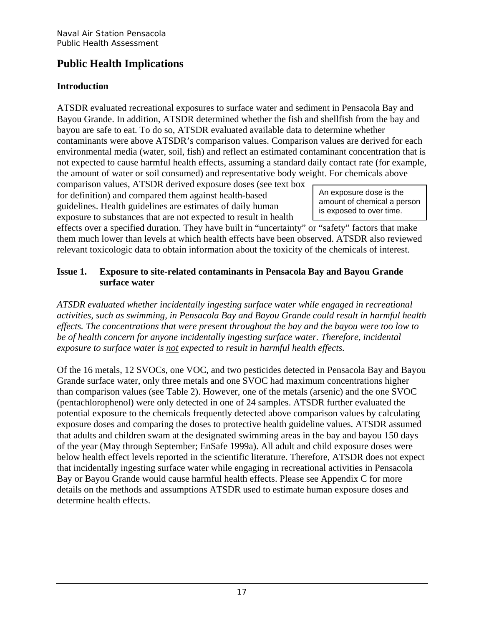# **Public Health Implications**

## **Introduction**

ATSDR evaluated recreational exposures to surface water and sediment in Pensacola Bay and Bayou Grande. In addition, ATSDR determined whether the fish and shellfish from the bay and bayou are safe to eat. To do so, ATSDR evaluated available data to determine whether contaminants were above ATSDR's comparison values. Comparison values are derived for each environmental media (water, soil, fish) and reflect an estimated contaminant concentration that is not expected to cause harmful health effects, assuming a standard daily contact rate (for example, the amount of water or soil consumed) and representative body weight. For chemicals above

comparison values, ATSDR derived exposure doses (see text box for definition) and compared them against health-based An exposure dose is the guidelines. Health guidelines are estimates of daily human is exposed to over time. exposure to substances that are not expected to result in health

amount of chemical a person

effects over a specified duration. They have built in "uncertainty" or "safety" factors that make them much lower than levels at which health effects have been observed. ATSDR also reviewed relevant toxicologic data to obtain information about the toxicity of the chemicals of interest.

## **Issue 1.** Exposure to site-related contaminants in Pensacola Bay and Bayou Grande **surface water**

*ATSDR evaluated whether incidentally ingesting surface water while engaged in recreational activities, such as swimming, in Pensacola Bay and Bayou Grande could result in harmful health effects. The concentrations that were present throughout the bay and the bayou were too low to be of health concern for anyone incidentally ingesting surface water. Therefore, incidental exposure to surface water is not expected to result in harmful health effects.* 

Of the 16 metals, 12 SVOCs, one VOC, and two pesticides detected in Pensacola Bay and Bayou Grande surface water, only three metals and one SVOC had maximum concentrations higher than comparison values (see Table 2). However, one of the metals (arsenic) and the one SVOC (pentachlorophenol) were only detected in one of 24 samples. ATSDR further evaluated the potential exposure to the chemicals frequently detected above comparison values by calculating exposure doses and comparing the doses to protective health guideline values. ATSDR assumed that adults and children swam at the designated swimming areas in the bay and bayou 150 days of the year (May through September; EnSafe 1999a). All adult and child exposure doses were below health effect levels reported in the scientific literature. Therefore, ATSDR does not expect that incidentally ingesting surface water while engaging in recreational activities in Pensacola Bay or Bayou Grande would cause harmful health effects. Please see Appendix C for more details on the methods and assumptions ATSDR used to estimate human exposure doses and determine health effects.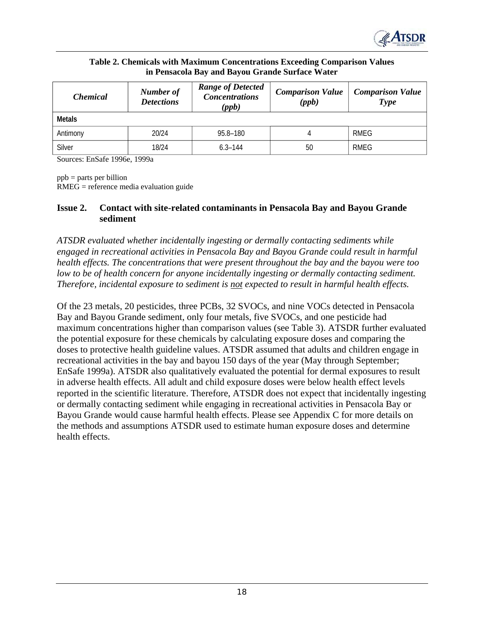

| Table 2. Chemicals with Maximum Concentrations Exceeding Comparison Values |
|----------------------------------------------------------------------------|
| in Pensacola Bay and Bayou Grande Surface Water                            |

| <i>Chemical</i> | Number of<br><b>Detections</b> | <b>Range of Detected</b><br><b>Concentrations</b><br>(ppb) | <b>Comparison Value</b><br>(ppb) | <b>Comparison Value</b><br>Type |
|-----------------|--------------------------------|------------------------------------------------------------|----------------------------------|---------------------------------|
| Metals          |                                |                                                            |                                  |                                 |
| Antimony        | 20/24                          | 95.8-180                                                   |                                  | RMEG                            |
| Silver          | 18/24                          | $6.3 - 144$                                                | 50                               | RMEG                            |

Sources: EnSafe 1996e, 1999a

ppb = parts per billion

RMEG = reference media evaluation guide

#### **Issue 2.** Contact with site-related contaminants in Pensacola Bay and Bayou Grande **sediment**

*ATSDR evaluated whether incidentally ingesting or dermally contacting sediments while engaged in recreational activities in Pensacola Bay and Bayou Grande could result in harmful health effects. The concentrations that were present throughout the bay and the bayou were too low to be of health concern for anyone incidentally ingesting or dermally contacting sediment. Therefore, incidental exposure to sediment is not expected to result in harmful health effects.* 

Of the 23 metals, 20 pesticides, three PCBs, 32 SVOCs, and nine VOCs detected in Pensacola Bay and Bayou Grande sediment, only four metals, five SVOCs, and one pesticide had maximum concentrations higher than comparison values (see Table 3). ATSDR further evaluated the potential exposure for these chemicals by calculating exposure doses and comparing the doses to protective health guideline values. ATSDR assumed that adults and children engage in recreational activities in the bay and bayou 150 days of the year (May through September; EnSafe 1999a). ATSDR also qualitatively evaluated the potential for dermal exposures to result in adverse health effects. All adult and child exposure doses were below health effect levels reported in the scientific literature. Therefore, ATSDR does not expect that incidentally ingesting or dermally contacting sediment while engaging in recreational activities in Pensacola Bay or Bayou Grande would cause harmful health effects. Please see Appendix C for more details on the methods and assumptions ATSDR used to estimate human exposure doses and determine health effects.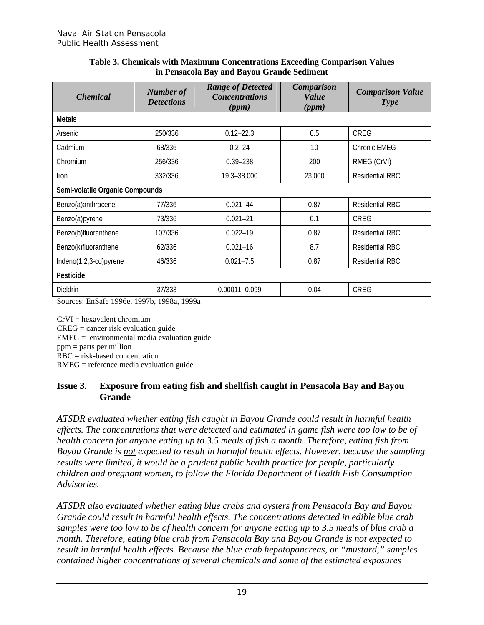#### **Table 3. Chemicals with Maximum Concentrations Exceeding Comparison Values in Pensacola Bay and Bayou Grande Sediment**

| <b>Chemical</b>                 | <b>Number of</b><br><b>Detections</b>               | <b>Range of Detected</b><br><b>Concentrations</b><br>(ppm) | <b>Comparison</b><br><b>Value</b><br>(ppm) | <b>Comparison Value</b><br><b>Type</b> |  |
|---------------------------------|-----------------------------------------------------|------------------------------------------------------------|--------------------------------------------|----------------------------------------|--|
| <b>Metals</b>                   |                                                     |                                                            |                                            |                                        |  |
| Arsenic                         | 250/336                                             | $0.12 - 22.3$                                              | 0.5                                        | <b>CREG</b>                            |  |
| Cadmium                         | 68/336                                              | $0.2 - 24$                                                 | 10                                         | Chronic EMEG                           |  |
| Chromium                        | 256/336                                             | $0.39 - 238$                                               | 200                                        | RMEG (CrVI)                            |  |
| <i>Iron</i>                     | 332/336                                             | 19.3-38,000                                                | 23,000                                     | <b>Residential RBC</b>                 |  |
| Semi-volatile Organic Compounds |                                                     |                                                            |                                            |                                        |  |
| Benzo(a)anthracene              | 77/336                                              | $0.021 - 44$                                               | 0.87                                       | <b>Residential RBC</b>                 |  |
| Benzo(a)pyrene                  | 73/336                                              | $0.021 - 21$                                               | 0.1                                        | <b>CREG</b>                            |  |
| Benzo(b)fluoranthene            | 107/336                                             | $0.022 - 19$                                               | 0.87                                       | <b>Residential RBC</b>                 |  |
| Benzo(k)fluoranthene            | 62/336                                              | $0.021 - 16$                                               | 8.7                                        | <b>Residential RBC</b>                 |  |
| Indeno(1,2,3-cd)pyrene          | 46/336                                              | $0.021 - 7.5$                                              | 0.87                                       | <b>Residential RBC</b>                 |  |
| Pesticide                       |                                                     |                                                            |                                            |                                        |  |
| Dieldrin<br>$\Omega$            | 37/333<br>$E_1, C_2, C_3, 1006, 10071, 1000, 1000,$ | 0.00011-0.099                                              | 0.04                                       | CREG                                   |  |

Sources: EnSafe 1996e, 1997b, 1998a, 1999a

 $CrVI = hexavalent chromium$ 

 $CREG = cancer risk evaluation guide$ 

 $EMEG =$  environmental media evaluation guide

ppm = parts per million

RBC = risk-based concentration

RMEG = reference media evaluation guide

#### **Issue 3.** Exposure from eating fish and shellfish caught in Pensacola Bay and Bayou **Grande**

*ATSDR evaluated whether eating fish caught in Bayou Grande could result in harmful health effects. The concentrations that were detected and estimated in game fish were too low to be of health concern for anyone eating up to 3.5 meals of fish a month. Therefore, eating fish from Bayou Grande is not expected to result in harmful health effects. However, because the sampling results were limited, it would be a prudent public health practice for people, particularly children and pregnant women, to follow the Florida Department of Health Fish Consumption Advisories.* 

*ATSDR also evaluated whether eating blue crabs and oysters from Pensacola Bay and Bayou Grande could result in harmful health effects. The concentrations detected in edible blue crab samples were too low to be of health concern for anyone eating up to 3.5 meals of blue crab a month. Therefore, eating blue crab from Pensacola Bay and Bayou Grande is not expected to result in harmful health effects. Because the blue crab hepatopancreas, or "mustard," samples contained higher concentrations of several chemicals and some of the estimated exposures*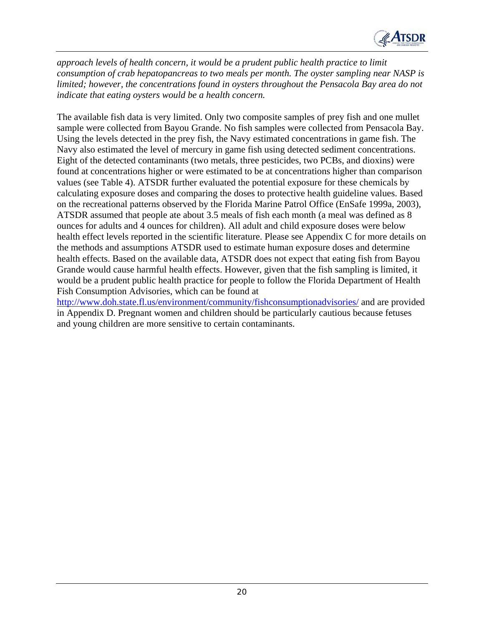

*approach levels of health concern, it would be a prudent public health practice to limit consumption of crab hepatopancreas to two meals per month. The oyster sampling near NASP is limited; however, the concentrations found in oysters throughout the Pensacola Bay area do not indicate that eating oysters would be a health concern.* 

The available fish data is very limited. Only two composite samples of prey fish and one mullet sample were collected from Bayou Grande. No fish samples were collected from Pensacola Bay. Using the levels detected in the prey fish, the Navy estimated concentrations in game fish. The Navy also estimated the level of mercury in game fish using detected sediment concentrations. Eight of the detected contaminants (two metals, three pesticides, two PCBs, and dioxins) were found at concentrations higher or were estimated to be at concentrations higher than comparison values (see Table 4). ATSDR further evaluated the potential exposure for these chemicals by calculating exposure doses and comparing the doses to protective health guideline values. Based on the recreational patterns observed by the Florida Marine Patrol Office (EnSafe 1999a, 2003), ATSDR assumed that people ate about 3.5 meals of fish each month (a meal was defined as 8 ounces for adults and 4 ounces for children). All adult and child exposure doses were below health effect levels reported in the scientific literature. Please see Appendix C for more details on the methods and assumptions ATSDR used to estimate human exposure doses and determine health effects. Based on the available data, ATSDR does not expect that eating fish from Bayou Grande would cause harmful health effects. However, given that the fish sampling is limited, it would be a prudent public health practice for people to follow the Florida Department of Health Fish Consumption Advisories, which can be found at

http://www.doh.state.fl.us/environment/community/fishconsumptionadvisories/ and are provided in Appendix D. Pregnant women and children should be particularly cautious because fetuses and young children are more sensitive to certain contaminants.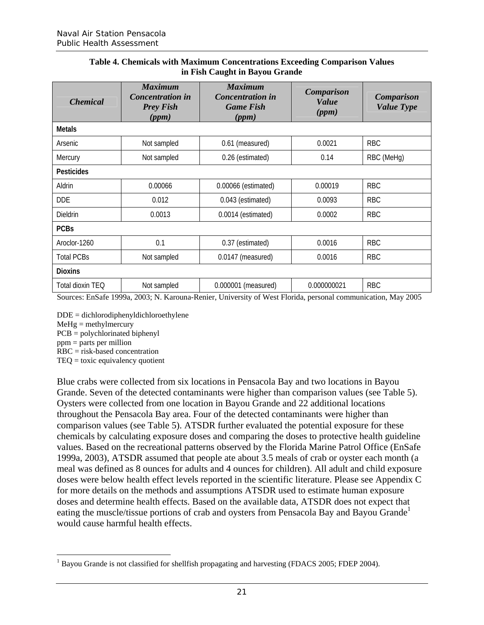|  |                                |  | Table 4. Chemicals with Maximum Concentrations Exceeding Comparison Values |  |
|--|--------------------------------|--|----------------------------------------------------------------------------|--|
|  | in Fish Caught in Bayou Grande |  |                                                                            |  |

| <b>Chemical</b>   | <b>Maximum</b><br><b>Concentration</b> in<br><b>Prey Fish</b><br>(ppm) | <b>Maximum</b><br><b>Concentration in</b><br><b>Game Fish</b><br>(ppm) | Comparison<br><b>Value</b><br>(ppm) | <b>Comparison</b><br><b>Value Type</b> |  |  |  |  |  |
|-------------------|------------------------------------------------------------------------|------------------------------------------------------------------------|-------------------------------------|----------------------------------------|--|--|--|--|--|
| <b>Metals</b>     |                                                                        |                                                                        |                                     |                                        |  |  |  |  |  |
| Arsenic           | Not sampled                                                            | 0.61 (measured)                                                        | 0.0021                              | <b>RBC</b>                             |  |  |  |  |  |
| Mercury           | Not sampled                                                            | 0.26 (estimated)                                                       | 0.14                                | RBC (MeHg)                             |  |  |  |  |  |
| <b>Pesticides</b> |                                                                        |                                                                        |                                     |                                        |  |  |  |  |  |
| Aldrin            | 0.00066                                                                | 0.00066 (estimated)                                                    | 0.00019                             | <b>RBC</b>                             |  |  |  |  |  |
| <b>DDE</b>        | 0.012                                                                  | 0.043 (estimated)                                                      | 0.0093                              | <b>RBC</b>                             |  |  |  |  |  |
| Dieldrin          | 0.0013                                                                 | 0.0014 (estimated)                                                     | 0.0002                              | <b>RBC</b>                             |  |  |  |  |  |
| <b>PCBs</b>       |                                                                        |                                                                        |                                     |                                        |  |  |  |  |  |
| Aroclor-1260      | 0.1                                                                    | 0.37 (estimated)                                                       | 0.0016                              | <b>RBC</b>                             |  |  |  |  |  |
| <b>Total PCBs</b> | Not sampled                                                            | 0.0147 (measured)                                                      | 0.0016                              | <b>RBC</b>                             |  |  |  |  |  |
| <b>Dioxins</b>    |                                                                        |                                                                        |                                     |                                        |  |  |  |  |  |
| Total dioxin TEQ  | Not sampled                                                            | 0.000001 (measured)                                                    | 0.000000021                         | <b>RBC</b>                             |  |  |  |  |  |

Sources: EnSafe 1999a, 2003; N. Karouna-Renier, University of West Florida, personal communication, May 2005

DDE = dichlorodiphenyldichloroethylene

 $MeHg =$  methylmercury

PCB = polychlorinated biphenyl

ppm = parts per million

RBC = risk-based concentration

TEQ = toxic equivalency quotient

Blue crabs were collected from six locations in Pensacola Bay and two locations in Bayou Grande. Seven of the detected contaminants were higher than comparison values (see Table 5). Oysters were collected from one location in Bayou Grande and 22 additional locations throughout the Pensacola Bay area. Four of the detected contaminants were higher than comparison values (see Table 5). ATSDR further evaluated the potential exposure for these chemicals by calculating exposure doses and comparing the doses to protective health guideline values. Based on the recreational patterns observed by the Florida Marine Patrol Office (EnSafe 1999a, 2003), ATSDR assumed that people ate about 3.5 meals of crab or oyster each month (a meal was defined as 8 ounces for adults and 4 ounces for children). All adult and child exposure doses were below health effect levels reported in the scientific literature. Please see Appendix C for more details on the methods and assumptions ATSDR used to estimate human exposure doses and determine health effects. Based on the available data, ATSDR does not expect that eating the muscle/tissue portions of crab and oysters from Pensacola Bay and Bayou Grande<sup>1</sup> would cause harmful health effects.

 $1$  Bayou Grande is not classified for shellfish propagating and harvesting (FDACS 2005; FDEP 2004).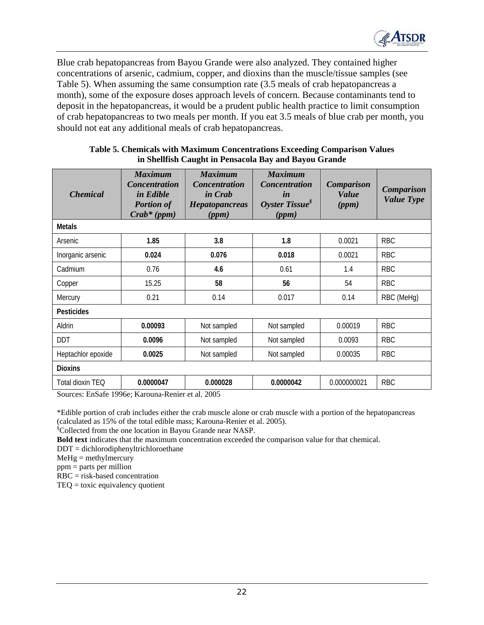

Blue crab hepatopancreas from Bayou Grande were also analyzed. They contained higher concentrations of arsenic, cadmium, copper, and dioxins than the muscle/tissue samples (see Table 5). When assuming the same consumption rate (3.5 meals of crab hepatopancreas a month), some of the exposure doses approach levels of concern. Because contaminants tend to deposit in the hepatopancreas, it would be a prudent public health practice to limit consumption of crab hepatopancreas to two meals per month. If you eat 3.5 meals of blue crab per month, you should not eat any additional meals of crab hepatopancreas.

| <i><b>Chemical</b></i> | <b>Maximum</b><br><b>Concentration</b><br>in Edible<br><b>Portion of</b><br>$Crab*(ppm)$ | <b>Maximum</b><br><b>Concentration</b><br>in Crab<br>Hepatopancreas<br>(ppm) | <b>Maximum</b><br><b>Concentration</b><br>in<br>Oyster Tissue $\delta$<br>(ppm) | <b>Comparison</b><br><b>Value</b><br>(ppm) | <b>Comparison</b><br><b>Value Type</b> |  |  |  |
|------------------------|------------------------------------------------------------------------------------------|------------------------------------------------------------------------------|---------------------------------------------------------------------------------|--------------------------------------------|----------------------------------------|--|--|--|
| <b>Metals</b>          |                                                                                          |                                                                              |                                                                                 |                                            |                                        |  |  |  |
| Arsenic                | 1.85                                                                                     | 3.8                                                                          | 1.8                                                                             | 0.0021                                     | <b>RBC</b>                             |  |  |  |
| Inorganic arsenic      | 0.024                                                                                    | 0.076<br>0.018                                                               |                                                                                 | 0.0021                                     | <b>RBC</b>                             |  |  |  |
| Cadmium                | 0.76                                                                                     | 4.6                                                                          | 0.61                                                                            | 1.4                                        | <b>RBC</b>                             |  |  |  |
| Copper                 | 15.25                                                                                    | 58                                                                           | 56                                                                              | 54                                         | <b>RBC</b>                             |  |  |  |
| Mercury                | 0.21                                                                                     | 0.14                                                                         | 0.017                                                                           | 0.14                                       | RBC (MeHg)                             |  |  |  |
| <b>Pesticides</b>      |                                                                                          |                                                                              |                                                                                 |                                            |                                        |  |  |  |
| Aldrin                 | 0.00093                                                                                  | Not sampled                                                                  | Not sampled                                                                     | 0.00019                                    | <b>RBC</b>                             |  |  |  |
| <b>DDT</b>             | 0.0096                                                                                   | Not sampled                                                                  | Not sampled                                                                     | 0.0093                                     | <b>RBC</b>                             |  |  |  |
| Heptachlor epoxide     | 0.0025                                                                                   | Not sampled                                                                  | Not sampled                                                                     | 0.00035                                    | <b>RBC</b>                             |  |  |  |
| <b>Dioxins</b>         |                                                                                          |                                                                              |                                                                                 |                                            |                                        |  |  |  |
| Total dioxin TEQ       | 0.0000047                                                                                | 0.000028                                                                     | 0.0000042                                                                       | 0.000000021                                | <b>RBC</b>                             |  |  |  |

#### **Table 5. Chemicals with Maximum Concentrations Exceeding Comparison Values in Shellfish Caught in Pensacola Bay and Bayou Grande**

Sources: EnSafe 1996e; Karouna-Renier et al. 2005

\*Edible portion of crab includes either the crab muscle alone or crab muscle with a portion of the hepatopancreas (calculated as 15% of the total edible mass; Karouna-Renier et al. 2005).

§ Collected from the one location in Bayou Grande near NASP.

**Bold text** indicates that the maximum concentration exceeded the comparison value for that chemical.

DDT = dichlorodiphenyltrichloroethane

 $MeHg =$  methylmercury

ppm = parts per million

RBC = risk-based concentration

TEQ = toxic equivalency quotient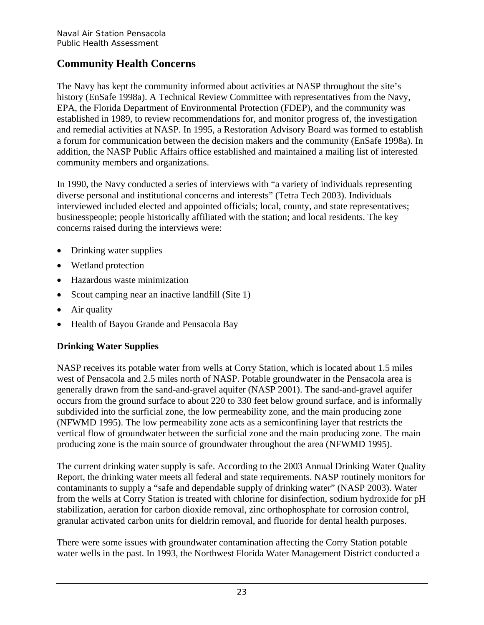# **Community Health Concerns**

The Navy has kept the community informed about activities at NASP throughout the site's history (EnSafe 1998a). A Technical Review Committee with representatives from the Navy, EPA, the Florida Department of Environmental Protection (FDEP), and the community was established in 1989, to review recommendations for, and monitor progress of, the investigation and remedial activities at NASP. In 1995, a Restoration Advisory Board was formed to establish a forum for communication between the decision makers and the community (EnSafe 1998a). In addition, the NASP Public Affairs office established and maintained a mailing list of interested community members and organizations.

In 1990, the Navy conducted a series of interviews with "a variety of individuals representing diverse personal and institutional concerns and interests" (Tetra Tech 2003). Individuals interviewed included elected and appointed officials; local, county, and state representatives; businesspeople; people historically affiliated with the station; and local residents. The key concerns raised during the interviews were:

- Drinking water supplies
- Wetland protection
- Hazardous waste minimization
- Scout camping near an inactive landfill (Site 1)
- Air quality
- Health of Bayou Grande and Pensacola Bay

## **Drinking Water Supplies**

NASP receives its potable water from wells at Corry Station, which is located about 1.5 miles west of Pensacola and 2.5 miles north of NASP. Potable groundwater in the Pensacola area is generally drawn from the sand-and-gravel aquifer (NASP 2001). The sand-and-gravel aquifer occurs from the ground surface to about 220 to 330 feet below ground surface, and is informally subdivided into the surficial zone, the low permeability zone, and the main producing zone (NFWMD 1995). The low permeability zone acts as a semiconfining layer that restricts the vertical flow of groundwater between the surficial zone and the main producing zone. The main producing zone is the main source of groundwater throughout the area (NFWMD 1995).

The current drinking water supply is safe. According to the 2003 Annual Drinking Water Quality Report, the drinking water meets all federal and state requirements. NASP routinely monitors for contaminants to supply a "safe and dependable supply of drinking water" (NASP 2003). Water from the wells at Corry Station is treated with chlorine for disinfection, sodium hydroxide for pH stabilization, aeration for carbon dioxide removal, zinc orthophosphate for corrosion control, granular activated carbon units for dieldrin removal, and fluoride for dental health purposes.

There were some issues with groundwater contamination affecting the Corry Station potable water wells in the past. In 1993, the Northwest Florida Water Management District conducted a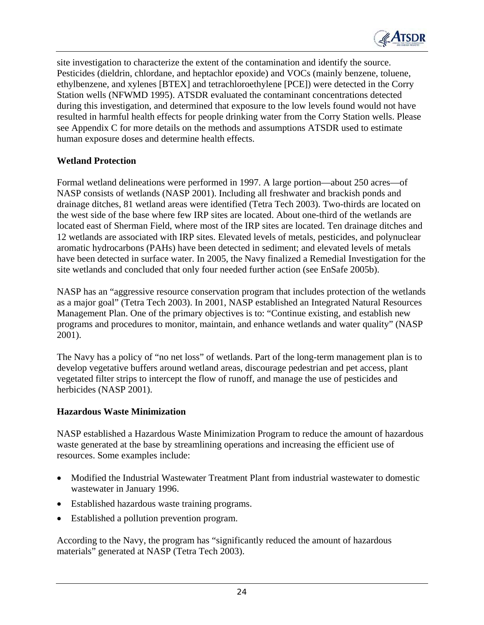

site investigation to characterize the extent of the contamination and identify the source. Pesticides (dieldrin, chlordane, and heptachlor epoxide) and VOCs (mainly benzene, toluene, ethylbenzene, and xylenes [BTEX] and tetrachloroethylene [PCE]) were detected in the Corry Station wells (NFWMD 1995). ATSDR evaluated the contaminant concentrations detected during this investigation, and determined that exposure to the low levels found would not have resulted in harmful health effects for people drinking water from the Corry Station wells. Please see Appendix C for more details on the methods and assumptions ATSDR used to estimate human exposure doses and determine health effects.

#### **Wetland Protection**

Formal wetland delineations were performed in 1997. A large portion—about 250 acres—of NASP consists of wetlands (NASP 2001). Including all freshwater and brackish ponds and drainage ditches, 81 wetland areas were identified (Tetra Tech 2003). Two-thirds are located on the west side of the base where few IRP sites are located. About one-third of the wetlands are located east of Sherman Field, where most of the IRP sites are located. Ten drainage ditches and 12 wetlands are associated with IRP sites. Elevated levels of metals, pesticides, and polynuclear aromatic hydrocarbons (PAHs) have been detected in sediment; and elevated levels of metals have been detected in surface water. In 2005, the Navy finalized a Remedial Investigation for the site wetlands and concluded that only four needed further action (see EnSafe 2005b).

NASP has an "aggressive resource conservation program that includes protection of the wetlands as a major goal" (Tetra Tech 2003). In 2001, NASP established an Integrated Natural Resources Management Plan. One of the primary objectives is to: "Continue existing, and establish new programs and procedures to monitor, maintain, and enhance wetlands and water quality" (NASP 2001).

The Navy has a policy of "no net loss" of wetlands. Part of the long-term management plan is to develop vegetative buffers around wetland areas, discourage pedestrian and pet access, plant vegetated filter strips to intercept the flow of runoff, and manage the use of pesticides and herbicides (NASP 2001).

#### **Hazardous Waste Minimization**

NASP established a Hazardous Waste Minimization Program to reduce the amount of hazardous waste generated at the base by streamlining operations and increasing the efficient use of resources. Some examples include:

- Modified the Industrial Wastewater Treatment Plant from industrial wastewater to domestic wastewater in January 1996.
- Established hazardous waste training programs.
- Established a pollution prevention program.

According to the Navy, the program has "significantly reduced the amount of hazardous materials" generated at NASP (Tetra Tech 2003).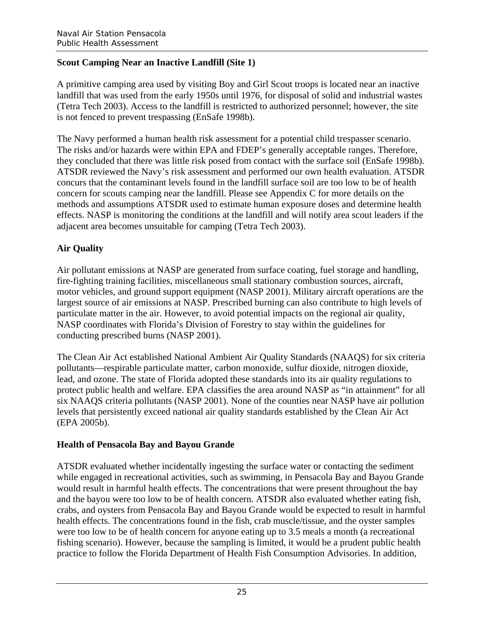## **Scout Camping Near an Inactive Landfill (Site 1)**

A primitive camping area used by visiting Boy and Girl Scout troops is located near an inactive landfill that was used from the early 1950s until 1976, for disposal of solid and industrial wastes (Tetra Tech 2003). Access to the landfill is restricted to authorized personnel; however, the site is not fenced to prevent trespassing (EnSafe 1998b).

The Navy performed a human health risk assessment for a potential child trespasser scenario. The risks and/or hazards were within EPA and FDEP's generally acceptable ranges. Therefore, they concluded that there was little risk posed from contact with the surface soil (EnSafe 1998b). ATSDR reviewed the Navy's risk assessment and performed our own health evaluation. ATSDR concurs that the contaminant levels found in the landfill surface soil are too low to be of health concern for scouts camping near the landfill. Please see Appendix C for more details on the methods and assumptions ATSDR used to estimate human exposure doses and determine health effects. NASP is monitoring the conditions at the landfill and will notify area scout leaders if the adjacent area becomes unsuitable for camping (Tetra Tech 2003).

## **Air Quality**

Air pollutant emissions at NASP are generated from surface coating, fuel storage and handling, fire-fighting training facilities, miscellaneous small stationary combustion sources, aircraft, motor vehicles, and ground support equipment (NASP 2001). Military aircraft operations are the largest source of air emissions at NASP. Prescribed burning can also contribute to high levels of particulate matter in the air. However, to avoid potential impacts on the regional air quality, NASP coordinates with Florida's Division of Forestry to stay within the guidelines for conducting prescribed burns (NASP 2001).

The Clean Air Act established National Ambient Air Quality Standards (NAAQS) for six criteria pollutants—respirable particulate matter, carbon monoxide, sulfur dioxide, nitrogen dioxide, lead, and ozone. The state of Florida adopted these standards into its air quality regulations to protect public health and welfare. EPA classifies the area around NASP as "in attainment" for all six NAAQS criteria pollutants (NASP 2001). None of the counties near NASP have air pollution levels that persistently exceed national air quality standards established by the Clean Air Act (EPA 2005b).

## **Health of Pensacola Bay and Bayou Grande**

ATSDR evaluated whether incidentally ingesting the surface water or contacting the sediment while engaged in recreational activities, such as swimming, in Pensacola Bay and Bayou Grande would result in harmful health effects. The concentrations that were present throughout the bay and the bayou were too low to be of health concern. ATSDR also evaluated whether eating fish, crabs, and oysters from Pensacola Bay and Bayou Grande would be expected to result in harmful health effects. The concentrations found in the fish, crab muscle/tissue, and the oyster samples were too low to be of health concern for anyone eating up to 3.5 meals a month (a recreational fishing scenario). However, because the sampling is limited, it would be a prudent public health practice to follow the Florida Department of Health Fish Consumption Advisories. In addition,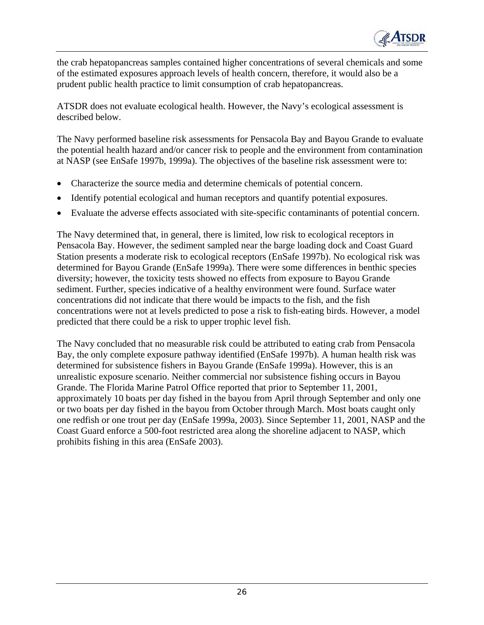

the crab hepatopancreas samples contained higher concentrations of several chemicals and some of the estimated exposures approach levels of health concern, therefore, it would also be a prudent public health practice to limit consumption of crab hepatopancreas.

ATSDR does not evaluate ecological health. However, the Navy's ecological assessment is described below.

The Navy performed baseline risk assessments for Pensacola Bay and Bayou Grande to evaluate the potential health hazard and/or cancer risk to people and the environment from contamination at NASP (see EnSafe 1997b, 1999a). The objectives of the baseline risk assessment were to:

- Characterize the source media and determine chemicals of potential concern.
- Identify potential ecological and human receptors and quantify potential exposures.
- Evaluate the adverse effects associated with site-specific contaminants of potential concern.

The Navy determined that, in general, there is limited, low risk to ecological receptors in Pensacola Bay. However, the sediment sampled near the barge loading dock and Coast Guard Station presents a moderate risk to ecological receptors (EnSafe 1997b). No ecological risk was determined for Bayou Grande (EnSafe 1999a). There were some differences in benthic species diversity; however, the toxicity tests showed no effects from exposure to Bayou Grande sediment. Further, species indicative of a healthy environment were found. Surface water concentrations did not indicate that there would be impacts to the fish, and the fish concentrations were not at levels predicted to pose a risk to fish-eating birds. However, a model predicted that there could be a risk to upper trophic level fish.

The Navy concluded that no measurable risk could be attributed to eating crab from Pensacola Bay, the only complete exposure pathway identified (EnSafe 1997b). A human health risk was determined for subsistence fishers in Bayou Grande (EnSafe 1999a). However, this is an unrealistic exposure scenario. Neither commercial nor subsistence fishing occurs in Bayou Grande. The Florida Marine Patrol Office reported that prior to September 11, 2001, approximately 10 boats per day fished in the bayou from April through September and only one or two boats per day fished in the bayou from October through March. Most boats caught only one redfish or one trout per day (EnSafe 1999a, 2003). Since September 11, 2001, NASP and the Coast Guard enforce a 500-foot restricted area along the shoreline adjacent to NASP, which prohibits fishing in this area (EnSafe 2003).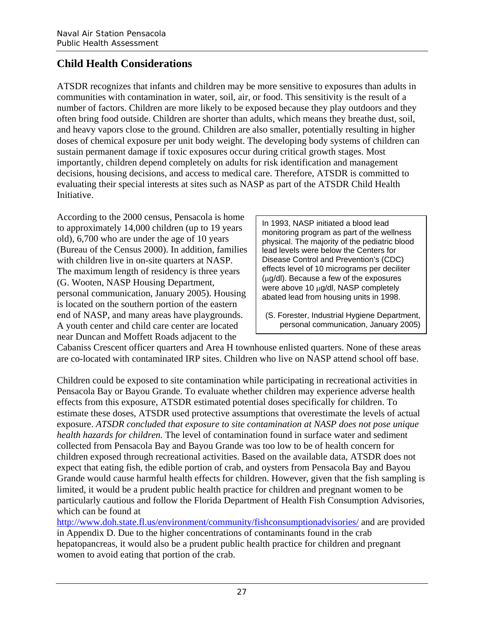# **Child Health Considerations**

ATSDR recognizes that infants and children may be more sensitive to exposures than adults in communities with contamination in water, soil, air, or food. This sensitivity is the result of a number of factors. Children are more likely to be exposed because they play outdoors and they often bring food outside. Children are shorter than adults, which means they breathe dust, soil, and heavy vapors close to the ground. Children are also smaller, potentially resulting in higher doses of chemical exposure per unit body weight. The developing body systems of children can sustain permanent damage if toxic exposures occur during critical growth stages. Most importantly, children depend completely on adults for risk identification and management decisions, housing decisions, and access to medical care. Therefore, ATSDR is committed to evaluating their special interests at sites such as NASP as part of the ATSDR Child Health Initiative.

According to the 2000 census, Pensacola is home In 1993, NASP initiated a blood lead<br>to approximately 14,000 children (up to 19 years monitoring program as part of the wellness old),  $6,700$  who are under the age of  $10$  years physical. The majority of the pediatric blood (Bureau of the Census 2000). In addition, families  $\parallel$  lead levels were below the Centers for with children live in on-site quarters at NASP.<br>The maximum length of residency is three years effects level of 10 micrograms per deciliter The maximum length of residency is three years  $\left\{\begin{array}{c} \text{effects level of 10 micrograms per decult} \\ \text{(µq/dl). Because a few of the exposures} \end{array}\right\}$  $(G. Wooden, NASA Housing Department, were above 10 µq/dl. NASA combined the results of the results of the results.$ personal communication, January 2005). Housing using above 10 µg/dl, NASP completely is located on the southern portion of the eastern end of NASP, and many areas have playgrounds. | (S. Forester, Industrial Hygiene Department, A youth center and child care center are located personal communication, January 2005) near Duncan and Moffett Roads adjacent to the

 $\overline{\phantom{a}}$ 

 $\overline{\phantom{a}}$ 

Cabaniss Crescent officer quarters and Area H townhouse enlisted quarters. None of these areas are co-located with contaminated IRP sites. Children who live on NASP attend school off base.

Children could be exposed to site contamination while participating in recreational activities in Pensacola Bay or Bayou Grande. To evaluate whether children may experience adverse health effects from this exposure, ATSDR estimated potential doses specifically for children. To estimate these doses, ATSDR used protective assumptions that overestimate the levels of actual exposure. *ATSDR concluded that exposure to site contamination at NASP does not pose unique health hazards for children.* The level of contamination found in surface water and sediment collected from Pensacola Bay and Bayou Grande was too low to be of health concern for children exposed through recreational activities. Based on the available data, ATSDR does not expect that eating fish, the edible portion of crab, and oysters from Pensacola Bay and Bayou Grande would cause harmful health effects for children. However, given that the fish sampling is limited, it would be a prudent public health practice for children and pregnant women to be particularly cautious and follow the Florida Department of Health Fish Consumption Advisories, which can be found at

http://www.doh.state.fl.us/environment/community/fishconsumptionadvisories/ and are provided in Appendix D. Due to the higher concentrations of contaminants found in the crab hepatopancreas, it would also be a prudent public health practice for children and pregnant women to avoid eating that portion of the crab.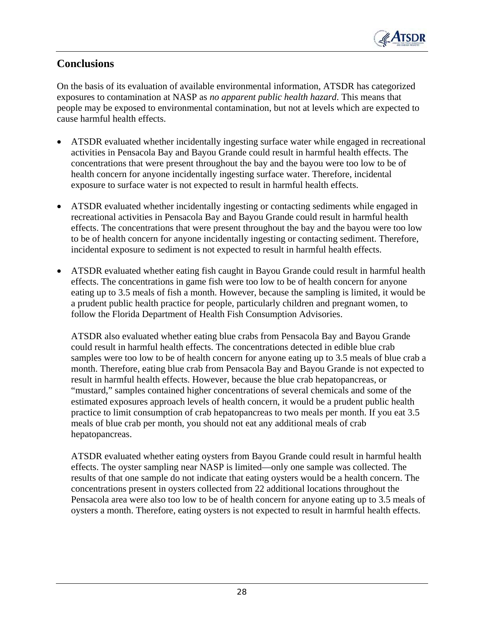

## **Conclusions**

On the basis of its evaluation of available environmental information, ATSDR has categorized exposures to contamination at NASP as *no apparent public health hazard*. This means that people may be exposed to environmental contamination, but not at levels which are expected to cause harmful health effects.

- ATSDR evaluated whether incidentally ingesting surface water while engaged in recreational activities in Pensacola Bay and Bayou Grande could result in harmful health effects. The concentrations that were present throughout the bay and the bayou were too low to be of health concern for anyone incidentally ingesting surface water. Therefore, incidental exposure to surface water is not expected to result in harmful health effects.
- ATSDR evaluated whether incidentally ingesting or contacting sediments while engaged in recreational activities in Pensacola Bay and Bayou Grande could result in harmful health effects. The concentrations that were present throughout the bay and the bayou were too low to be of health concern for anyone incidentally ingesting or contacting sediment. Therefore, incidental exposure to sediment is not expected to result in harmful health effects.
- ATSDR evaluated whether eating fish caught in Bayou Grande could result in harmful health effects. The concentrations in game fish were too low to be of health concern for anyone eating up to 3.5 meals of fish a month. However, because the sampling is limited, it would be a prudent public health practice for people, particularly children and pregnant women, to follow the Florida Department of Health Fish Consumption Advisories.

ATSDR also evaluated whether eating blue crabs from Pensacola Bay and Bayou Grande could result in harmful health effects. The concentrations detected in edible blue crab samples were too low to be of health concern for anyone eating up to 3.5 meals of blue crab a month. Therefore, eating blue crab from Pensacola Bay and Bayou Grande is not expected to result in harmful health effects. However, because the blue crab hepatopancreas, or "mustard," samples contained higher concentrations of several chemicals and some of the estimated exposures approach levels of health concern, it would be a prudent public health practice to limit consumption of crab hepatopancreas to two meals per month. If you eat 3.5 meals of blue crab per month, you should not eat any additional meals of crab hepatopancreas.

ATSDR evaluated whether eating oysters from Bayou Grande could result in harmful health effects. The oyster sampling near NASP is limited—only one sample was collected. The results of that one sample do not indicate that eating oysters would be a health concern. The concentrations present in oysters collected from 22 additional locations throughout the Pensacola area were also too low to be of health concern for anyone eating up to 3.5 meals of oysters a month. Therefore, eating oysters is not expected to result in harmful health effects.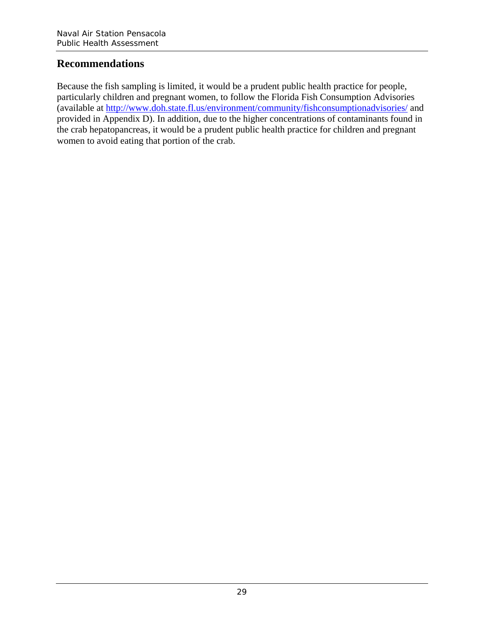## **Recommendations**

Because the fish sampling is limited, it would be a prudent public health practice for people, particularly children and pregnant women, to follow the Florida Fish Consumption Advisories (available at http://www.doh.state.fl.us/environment/community/fishconsumptionadvisories/ and provided in Appendix D). In addition, due to the higher concentrations of contaminants found in the crab hepatopancreas, it would be a prudent public health practice for children and pregnant women to avoid eating that portion of the crab.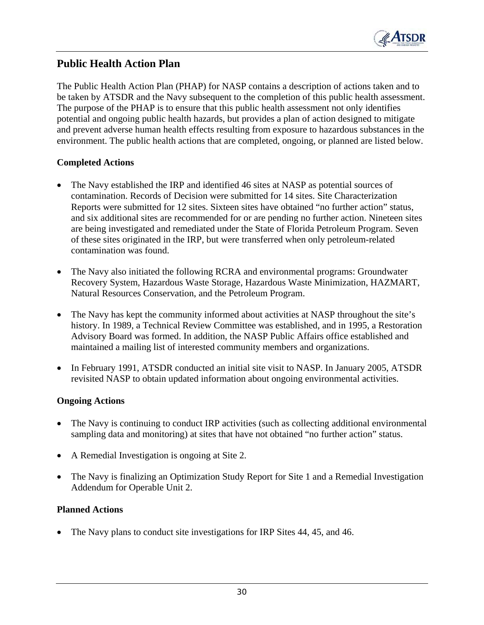

## **Public Health Action Plan**

The Public Health Action Plan (PHAP) for NASP contains a description of actions taken and to be taken by ATSDR and the Navy subsequent to the completion of this public health assessment. The purpose of the PHAP is to ensure that this public health assessment not only identifies potential and ongoing public health hazards, but provides a plan of action designed to mitigate and prevent adverse human health effects resulting from exposure to hazardous substances in the environment. The public health actions that are completed, ongoing, or planned are listed below.

#### **Completed Actions**

- The Navy established the IRP and identified 46 sites at NASP as potential sources of contamination. Records of Decision were submitted for 14 sites. Site Characterization Reports were submitted for 12 sites. Sixteen sites have obtained "no further action" status, and six additional sites are recommended for or are pending no further action. Nineteen sites are being investigated and remediated under the State of Florida Petroleum Program. Seven of these sites originated in the IRP, but were transferred when only petroleum-related contamination was found.
- The Navy also initiated the following RCRA and environmental programs: Groundwater Recovery System, Hazardous Waste Storage, Hazardous Waste Minimization, HAZMART, Natural Resources Conservation, and the Petroleum Program.
- The Navy has kept the community informed about activities at NASP throughout the site's history. In 1989, a Technical Review Committee was established, and in 1995, a Restoration Advisory Board was formed. In addition, the NASP Public Affairs office established and maintained a mailing list of interested community members and organizations.
- In February 1991, ATSDR conducted an initial site visit to NASP. In January 2005, ATSDR revisited NASP to obtain updated information about ongoing environmental activities.

## **Ongoing Actions**

- The Navy is continuing to conduct IRP activities (such as collecting additional environmental sampling data and monitoring) at sites that have not obtained "no further action" status.
- A Remedial Investigation is ongoing at Site 2.
- The Navy is finalizing an Optimization Study Report for Site 1 and a Remedial Investigation Addendum for Operable Unit 2.

## **Planned Actions**

The Navy plans to conduct site investigations for IRP Sites 44, 45, and 46.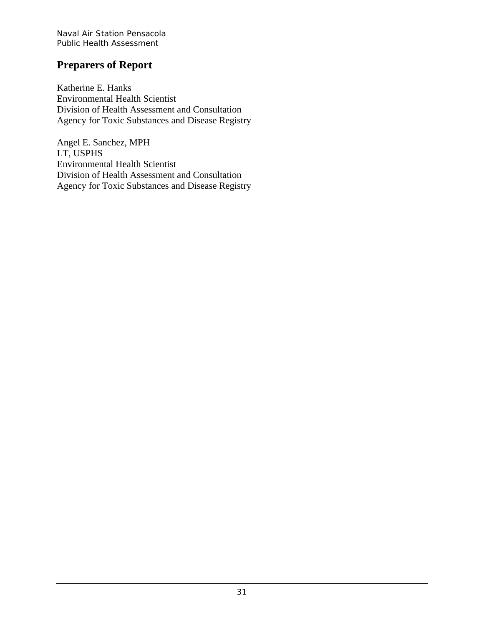# **Preparers of Report**

Katherine E. Hanks Environmental Health Scientist Division of Health Assessment and Consultation Agency for Toxic Substances and Disease Registry

Angel E. Sanchez, MPH LT, USPHS Environmental Health Scientist Division of Health Assessment and Consultation Agency for Toxic Substances and Disease Registry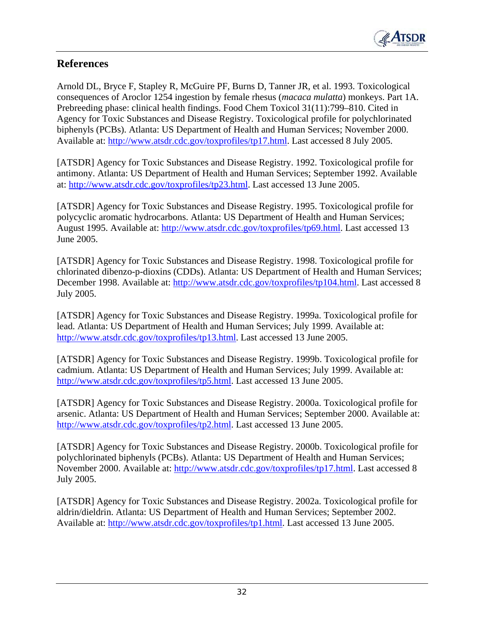

# **References**

Arnold DL, Bryce F, Stapley R, McGuire PF, Burns D, Tanner JR, et al. 1993. Toxicological consequences of Aroclor 1254 ingestion by female rhesus (*macaca mulatta*) monkeys. Part 1A. Prebreeding phase: clinical health findings. Food Chem Toxicol 31(11):799–810. Cited in Agency for Toxic Substances and Disease Registry. Toxicological profile for polychlorinated biphenyls (PCBs). Atlanta: US Department of Health and Human Services; November 2000. Available at: http://www.atsdr.cdc.gov/toxprofiles/tp17.html. Last accessed 8 July 2005.

[ATSDR] Agency for Toxic Substances and Disease Registry. 1992. Toxicological profile for antimony. Atlanta: US Department of Health and Human Services; September 1992. Available at: http://www.atsdr.cdc.gov/toxprofiles/tp23.html. Last accessed 13 June 2005.

[ATSDR] Agency for Toxic Substances and Disease Registry. 1995. Toxicological profile for polycyclic aromatic hydrocarbons. Atlanta: US Department of Health and Human Services; August 1995. Available at: http://www.atsdr.cdc.gov/toxprofiles/tp69.html. Last accessed 13 June 2005.

[ATSDR] Agency for Toxic Substances and Disease Registry. 1998. Toxicological profile for chlorinated dibenzo-p-dioxins (CDDs). Atlanta: US Department of Health and Human Services; December 1998. Available at: http://www.atsdr.cdc.gov/toxprofiles/tp104.html. Last accessed 8 July 2005.

[ATSDR] Agency for Toxic Substances and Disease Registry. 1999a. Toxicological profile for lead. Atlanta: US Department of Health and Human Services; July 1999. Available at: http://www.atsdr.cdc.gov/toxprofiles/tp13.html. Last accessed 13 June 2005.

[ATSDR] Agency for Toxic Substances and Disease Registry. 1999b. Toxicological profile for cadmium. Atlanta: US Department of Health and Human Services; July 1999. Available at: http://www.atsdr.cdc.gov/toxprofiles/tp5.html. Last accessed 13 June 2005.

[ATSDR] Agency for Toxic Substances and Disease Registry. 2000a. Toxicological profile for arsenic. Atlanta: US Department of Health and Human Services; September 2000. Available at: http://www.atsdr.cdc.gov/toxprofiles/tp2.html. Last accessed 13 June 2005.

[ATSDR] Agency for Toxic Substances and Disease Registry. 2000b. Toxicological profile for polychlorinated biphenyls (PCBs). Atlanta: US Department of Health and Human Services; November 2000. Available at: http://www.atsdr.cdc.gov/toxprofiles/tp17.html. Last accessed 8 July 2005.

[ATSDR] Agency for Toxic Substances and Disease Registry. 2002a. Toxicological profile for aldrin/dieldrin. Atlanta: US Department of Health and Human Services; September 2002. Available at: http://www.atsdr.cdc.gov/toxprofiles/tp1.html. Last accessed 13 June 2005.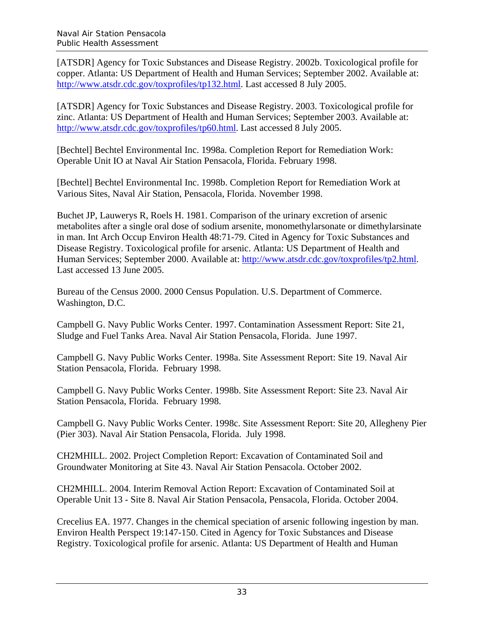[ATSDR] Agency for Toxic Substances and Disease Registry. 2002b. Toxicological profile for copper. Atlanta: US Department of Health and Human Services; September 2002. Available at: http://www.atsdr.cdc.gov/toxprofiles/tp132.html. Last accessed 8 July 2005.

[ATSDR] Agency for Toxic Substances and Disease Registry. 2003. Toxicological profile for zinc. Atlanta: US Department of Health and Human Services; September 2003. Available at: http://www.atsdr.cdc.gov/toxprofiles/tp60.html. Last accessed 8 July 2005.

[Bechtel] Bechtel Environmental Inc. 1998a. Completion Report for Remediation Work: Operable Unit IO at Naval Air Station Pensacola, Florida. February 1998.

[Bechtel] Bechtel Environmental Inc. 1998b. Completion Report for Remediation Work at Various Sites, Naval Air Station, Pensacola, Florida. November 1998.

Buchet JP, Lauwerys R, Roels H. 1981. Comparison of the urinary excretion of arsenic metabolites after a single oral dose of sodium arsenite, monomethylarsonate or dimethylarsinate in man. Int Arch Occup Environ Health 48:71-79. Cited in Agency for Toxic Substances and Disease Registry. Toxicological profile for arsenic. Atlanta: US Department of Health and Human Services; September 2000. Available at: http://www.atsdr.cdc.gov/toxprofiles/tp2.html. Last accessed 13 June 2005.

Bureau of the Census 2000. 2000 Census Population. U.S. Department of Commerce. Washington, D.C.

Campbell G. Navy Public Works Center. 1997. Contamination Assessment Report: Site 21, Sludge and Fuel Tanks Area. Naval Air Station Pensacola, Florida. June 1997.

Campbell G. Navy Public Works Center. 1998a. Site Assessment Report: Site 19. Naval Air Station Pensacola, Florida. February 1998.

Campbell G. Navy Public Works Center. 1998b. Site Assessment Report: Site 23. Naval Air Station Pensacola, Florida. February 1998.

Campbell G. Navy Public Works Center. 1998c. Site Assessment Report: Site 20, Allegheny Pier (Pier 303). Naval Air Station Pensacola, Florida. July 1998.

CH2MHILL. 2002. Project Completion Report: Excavation of Contaminated Soil and Groundwater Monitoring at Site 43. Naval Air Station Pensacola. October 2002.

CH2MHILL. 2004. Interim Removal Action Report: Excavation of Contaminated Soil at Operable Unit 13 - Site 8. Naval Air Station Pensacola, Pensacola, Florida. October 2004.

Crecelius EA. 1977. Changes in the chemical speciation of arsenic following ingestion by man. Environ Health Perspect 19:147-150. Cited in Agency for Toxic Substances and Disease Registry. Toxicological profile for arsenic. Atlanta: US Department of Health and Human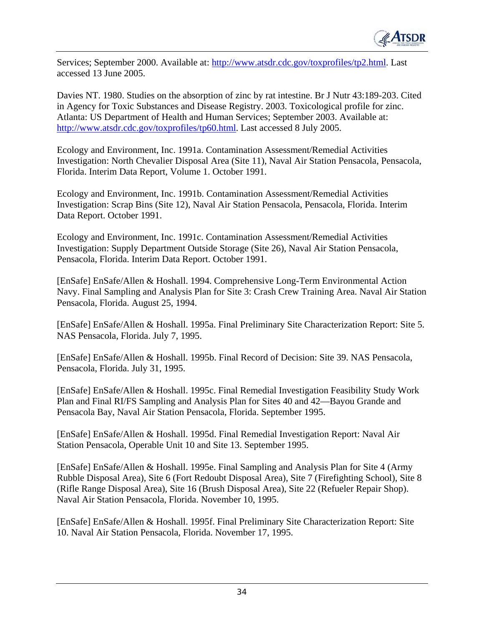

Services; September 2000. Available at: http://www.atsdr.cdc.gov/toxprofiles/tp2.html. Last accessed 13 June 2005.

Davies NT. 1980. Studies on the absorption of zinc by rat intestine. Br J Nutr 43:189-203. Cited in Agency for Toxic Substances and Disease Registry. 2003. Toxicological profile for zinc. Atlanta: US Department of Health and Human Services; September 2003. Available at: http://www.atsdr.cdc.gov/toxprofiles/tp60.html. Last accessed 8 July 2005.

Ecology and Environment, Inc. 1991a. Contamination Assessment/Remedial Activities Investigation: North Chevalier Disposal Area (Site 11), Naval Air Station Pensacola, Pensacola, Florida. Interim Data Report, Volume 1. October 1991.

Ecology and Environment, Inc. 1991b. Contamination Assessment/Remedial Activities Investigation: Scrap Bins (Site 12), Naval Air Station Pensacola, Pensacola, Florida. Interim Data Report. October 1991.

Ecology and Environment, Inc. 1991c. Contamination Assessment/Remedial Activities Investigation: Supply Department Outside Storage (Site 26), Naval Air Station Pensacola, Pensacola, Florida. Interim Data Report. October 1991.

[EnSafe] EnSafe/Allen & Hoshall. 1994. Comprehensive Long-Term Environmental Action Navy. Final Sampling and Analysis Plan for Site 3: Crash Crew Training Area. Naval Air Station Pensacola, Florida. August 25, 1994.

[EnSafe] EnSafe/Allen & Hoshall. 1995a. Final Preliminary Site Characterization Report: Site 5. NAS Pensacola, Florida. July 7, 1995.

[EnSafe] EnSafe/Allen & Hoshall. 1995b. Final Record of Decision: Site 39. NAS Pensacola, Pensacola, Florida. July 31, 1995.

[EnSafe] EnSafe/Allen & Hoshall. 1995c. Final Remedial Investigation Feasibility Study Work Plan and Final RI/FS Sampling and Analysis Plan for Sites 40 and 42—Bayou Grande and Pensacola Bay, Naval Air Station Pensacola, Florida. September 1995.

[EnSafe] EnSafe/Allen & Hoshall. 1995d. Final Remedial Investigation Report: Naval Air Station Pensacola, Operable Unit 10 and Site 13. September 1995.

[EnSafe] EnSafe/Allen & Hoshall. 1995e. Final Sampling and Analysis Plan for Site 4 (Army Rubble Disposal Area), Site 6 (Fort Redoubt Disposal Area), Site 7 (Firefighting School), Site 8 (Rifle Range Disposal Area), Site 16 (Brush Disposal Area), Site 22 (Refueler Repair Shop). Naval Air Station Pensacola, Florida. November 10, 1995.

[EnSafe] EnSafe/Allen & Hoshall. 1995f. Final Preliminary Site Characterization Report: Site 10. Naval Air Station Pensacola, Florida. November 17, 1995.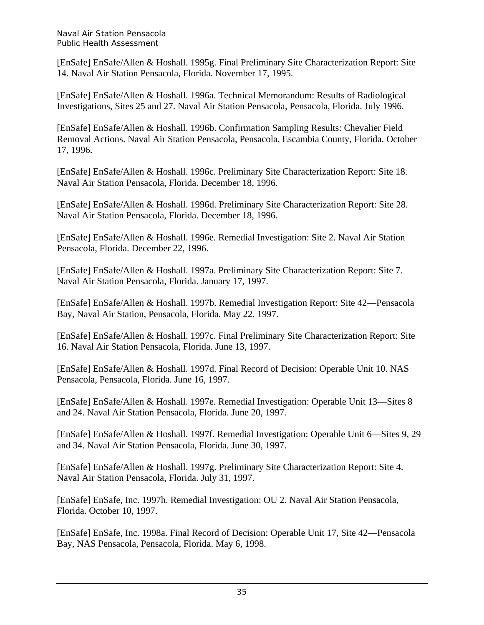[EnSafe] EnSafe/Allen & Hoshall. 1995g. Final Preliminary Site Characterization Report: Site 14. Naval Air Station Pensacola, Florida. November 17, 1995.

[EnSafe] EnSafe/Allen & Hoshall. 1996a. Technical Memorandum: Results of Radiological Investigations, Sites 25 and 27. Naval Air Station Pensacola, Pensacola, Florida. July 1996.

[EnSafe] EnSafe/Allen & Hoshall. 1996b. Confirmation Sampling Results: Chevalier Field Removal Actions. Naval Air Station Pensacola, Pensacola, Escambia County, Florida. October 17, 1996.

[EnSafe] EnSafe/Allen & Hoshall. 1996c. Preliminary Site Characterization Report: Site 18. Naval Air Station Pensacola, Florida. December 18, 1996.

[EnSafe] EnSafe/Allen & Hoshall. 1996d. Preliminary Site Characterization Report: Site 28. Naval Air Station Pensacola, Florida. December 18, 1996.

[EnSafe] EnSafe/Allen & Hoshall. 1996e. Remedial Investigation: Site 2. Naval Air Station Pensacola, Florida. December 22, 1996.

[EnSafe] EnSafe/Allen & Hoshall. 1997a. Preliminary Site Characterization Report: Site 7. Naval Air Station Pensacola, Florida. January 17, 1997.

[EnSafe] EnSafe/Allen & Hoshall. 1997b. Remedial Investigation Report: Site 42—Pensacola Bay, Naval Air Station, Pensacola, Florida. May 22, 1997.

[EnSafe] EnSafe/Allen & Hoshall. 1997c. Final Preliminary Site Characterization Report: Site 16. Naval Air Station Pensacola, Florida. June 13, 1997.

[EnSafe] EnSafe/Allen & Hoshall. 1997d. Final Record of Decision: Operable Unit 10. NAS Pensacola, Pensacola, Florida. June 16, 1997.

[EnSafe] EnSafe/Allen & Hoshall. 1997e. Remedial Investigation: Operable Unit 13—Sites 8 and 24. Naval Air Station Pensacola, Florida. June 20, 1997.

[EnSafe] EnSafe/Allen & Hoshall. 1997f. Remedial Investigation: Operable Unit 6—Sites 9, 29 and 34. Naval Air Station Pensacola, Florida. June 30, 1997.

[EnSafe] EnSafe/Allen & Hoshall. 1997g. Preliminary Site Characterization Report: Site 4. Naval Air Station Pensacola, Florida. July 31, 1997.

[EnSafe] EnSafe, Inc. 1997h. Remedial Investigation: OU 2. Naval Air Station Pensacola, Florida. October 10, 1997.

[EnSafe] EnSafe, Inc. 1998a. Final Record of Decision: Operable Unit 17, Site 42—Pensacola Bay, NAS Pensacola, Pensacola, Florida. May 6, 1998.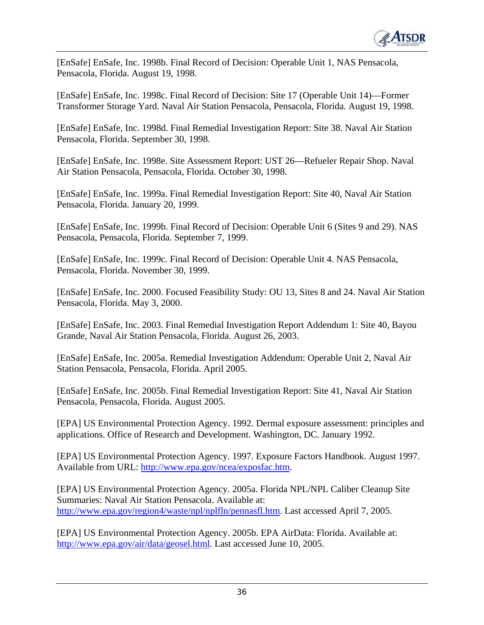

[EnSafe] EnSafe, Inc. 1998b. Final Record of Decision: Operable Unit 1, NAS Pensacola, Pensacola, Florida. August 19, 1998.

[EnSafe] EnSafe, Inc. 1998c. Final Record of Decision: Site 17 (Operable Unit 14)—Former Transformer Storage Yard. Naval Air Station Pensacola, Pensacola, Florida. August 19, 1998.

[EnSafe] EnSafe, Inc. 1998d. Final Remedial Investigation Report: Site 38. Naval Air Station Pensacola, Florida. September 30, 1998.

[EnSafe] EnSafe, Inc. 1998e. Site Assessment Report: UST 26—Refueler Repair Shop. Naval Air Station Pensacola, Pensacola, Florida. October 30, 1998.

[EnSafe] EnSafe, Inc. 1999a. Final Remedial Investigation Report: Site 40, Naval Air Station Pensacola, Florida. January 20, 1999.

[EnSafe] EnSafe, Inc. 1999b. Final Record of Decision: Operable Unit 6 (Sites 9 and 29). NAS Pensacola, Pensacola, Florida. September 7, 1999.

[EnSafe] EnSafe, Inc. 1999c. Final Record of Decision: Operable Unit 4. NAS Pensacola, Pensacola, Florida. November 30, 1999.

[EnSafe] EnSafe, Inc. 2000. Focused Feasibility Study: OU 13, Sites 8 and 24. Naval Air Station Pensacola, Florida. May 3, 2000.

[EnSafe] EnSafe, Inc. 2003. Final Remedial Investigation Report Addendum 1: Site 40, Bayou Grande, Naval Air Station Pensacola, Florida. August 26, 2003.

[EnSafe] EnSafe, Inc. 2005a. Remedial Investigation Addendum: Operable Unit 2, Naval Air Station Pensacola, Pensacola, Florida. April 2005.

[EnSafe] EnSafe, Inc. 2005b. Final Remedial Investigation Report: Site 41, Naval Air Station Pensacola, Pensacola, Florida. August 2005.

[EPA] US Environmental Protection Agency. 1992. Dermal exposure assessment: principles and applications. Office of Research and Development. Washington, DC. January 1992.

[EPA] US Environmental Protection Agency. 1997. Exposure Factors Handbook. August 1997. Available from URL: http://www.epa.gov/ncea/exposfac.htm.

[EPA] US Environmental Protection Agency. 2005a. Florida NPL/NPL Caliber Cleanup Site Summaries: Naval Air Station Pensacola. Available at: http://www.epa.gov/region4/waste/npl/nplfln/pennasfl.htm. Last accessed April 7, 2005.

[EPA] US Environmental Protection Agency. 2005b. EPA AirData: Florida. Available at: http://www.epa.gov/air/data/geosel.html. Last accessed June 10, 2005.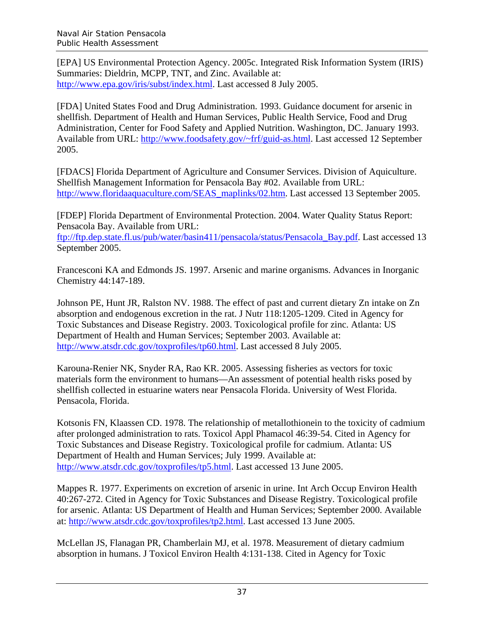[EPA] US Environmental Protection Agency. 2005c. Integrated Risk Information System (IRIS) Summaries: Dieldrin, MCPP, TNT, and Zinc. Available at: http://www.epa.gov/iris/subst/index.html. Last accessed 8 July 2005.

[FDA] United States Food and Drug Administration. 1993. Guidance document for arsenic in shellfish. Department of Health and Human Services, Public Health Service, Food and Drug Administration, Center for Food Safety and Applied Nutrition. Washington, DC. January 1993. Available from URL: http://www.foodsafety.gov/~frf/guid-as.html. Last accessed 12 September 2005.

[FDACS] Florida Department of Agriculture and Consumer Services. Division of Aquiculture. Shellfish Management Information for Pensacola Bay #02. Available from URL: http://www.floridaaquaculture.com/SEAS\_maplinks/02.htm. Last accessed 13 September 2005.

[FDEP] Florida Department of Environmental Protection. 2004. Water Quality Status Report: Pensacola Bay. Available from URL:

ftp://ftp.dep.state.fl.us/pub/water/basin411/pensacola/status/Pensacola\_Bay.pdf. Last accessed 13 September 2005.

Francesconi KA and Edmonds JS. 1997. Arsenic and marine organisms. Advances in Inorganic Chemistry 44:147-189.

Johnson PE, Hunt JR, Ralston NV. 1988. The effect of past and current dietary Zn intake on Zn absorption and endogenous excretion in the rat. J Nutr 118:1205-1209. Cited in Agency for Toxic Substances and Disease Registry. 2003. Toxicological profile for zinc. Atlanta: US Department of Health and Human Services; September 2003. Available at: http://www.atsdr.cdc.gov/toxprofiles/tp60.html. Last accessed 8 July 2005.

Karouna-Renier NK, Snyder RA, Rao KR. 2005. Assessing fisheries as vectors for toxic materials form the environment to humans—An assessment of potential health risks posed by shellfish collected in estuarine waters near Pensacola Florida. University of West Florida. Pensacola, Florida.

Kotsonis FN, Klaassen CD. 1978. The relationship of metallothionein to the toxicity of cadmium after prolonged administration to rats. Toxicol Appl Phamacol 46:39-54. Cited in Agency for Toxic Substances and Disease Registry. Toxicological profile for cadmium. Atlanta: US Department of Health and Human Services; July 1999. Available at: http://www.atsdr.cdc.gov/toxprofiles/tp5.html. Last accessed 13 June 2005.

Mappes R. 1977. Experiments on excretion of arsenic in urine. Int Arch Occup Environ Health 40:267-272. Cited in Agency for Toxic Substances and Disease Registry. Toxicological profile for arsenic. Atlanta: US Department of Health and Human Services; September 2000. Available at: http://www.atsdr.cdc.gov/toxprofiles/tp2.html. Last accessed 13 June 2005.

McLellan JS, Flanagan PR, Chamberlain MJ, et al. 1978. Measurement of dietary cadmium absorption in humans. J Toxicol Environ Health 4:131-138. Cited in Agency for Toxic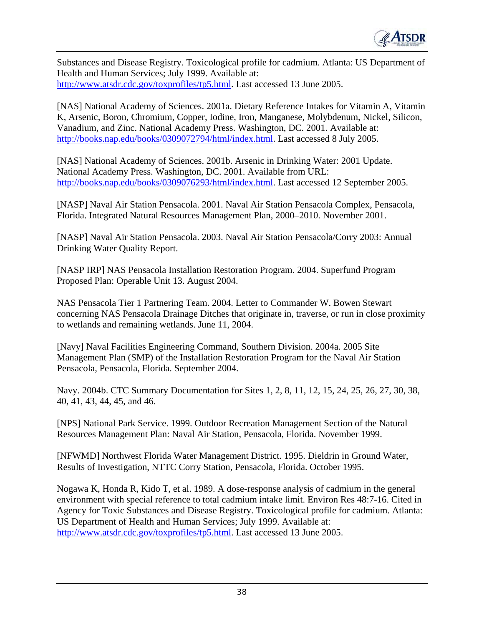

Substances and Disease Registry. Toxicological profile for cadmium. Atlanta: US Department of Health and Human Services; July 1999. Available at: http://www.atsdr.cdc.gov/toxprofiles/tp5.html. Last accessed 13 June 2005.

[NAS] National Academy of Sciences. 2001a. Dietary Reference Intakes for Vitamin A, Vitamin K, Arsenic, Boron, Chromium, Copper, Iodine, Iron, Manganese, Molybdenum, Nickel, Silicon, Vanadium, and Zinc. National Academy Press. Washington, DC. 2001. Available at: http://books.nap.edu/books/0309072794/html/index.html. Last accessed 8 July 2005.

[NAS] National Academy of Sciences. 2001b. Arsenic in Drinking Water: 2001 Update. National Academy Press. Washington, DC. 2001. Available from URL: http://books.nap.edu/books/0309076293/html/index.html. Last accessed 12 September 2005.

[NASP] Naval Air Station Pensacola. 2001. Naval Air Station Pensacola Complex, Pensacola, Florida. Integrated Natural Resources Management Plan, 2000–2010. November 2001.

[NASP] Naval Air Station Pensacola. 2003. Naval Air Station Pensacola/Corry 2003: Annual Drinking Water Quality Report.

[NASP IRP] NAS Pensacola Installation Restoration Program. 2004. Superfund Program Proposed Plan: Operable Unit 13. August 2004.

NAS Pensacola Tier 1 Partnering Team. 2004. Letter to Commander W. Bowen Stewart concerning NAS Pensacola Drainage Ditches that originate in, traverse, or run in close proximity to wetlands and remaining wetlands. June 11, 2004.

[Navy] Naval Facilities Engineering Command, Southern Division. 2004a. 2005 Site Management Plan (SMP) of the Installation Restoration Program for the Naval Air Station Pensacola, Pensacola, Florida. September 2004.

Navy. 2004b. CTC Summary Documentation for Sites 1, 2, 8, 11, 12, 15, 24, 25, 26, 27, 30, 38, 40, 41, 43, 44, 45, and 46.

[NPS] National Park Service. 1999. Outdoor Recreation Management Section of the Natural Resources Management Plan: Naval Air Station, Pensacola, Florida. November 1999.

[NFWMD] Northwest Florida Water Management District. 1995. Dieldrin in Ground Water, Results of Investigation, NTTC Corry Station, Pensacola, Florida. October 1995.

Nogawa K, Honda R, Kido T, et al. 1989. A dose-response analysis of cadmium in the general environment with special reference to total cadmium intake limit. Environ Res 48:7-16. Cited in Agency for Toxic Substances and Disease Registry. Toxicological profile for cadmium. Atlanta: US Department of Health and Human Services; July 1999. Available at: http://www.atsdr.cdc.gov/toxprofiles/tp5.html. Last accessed 13 June 2005.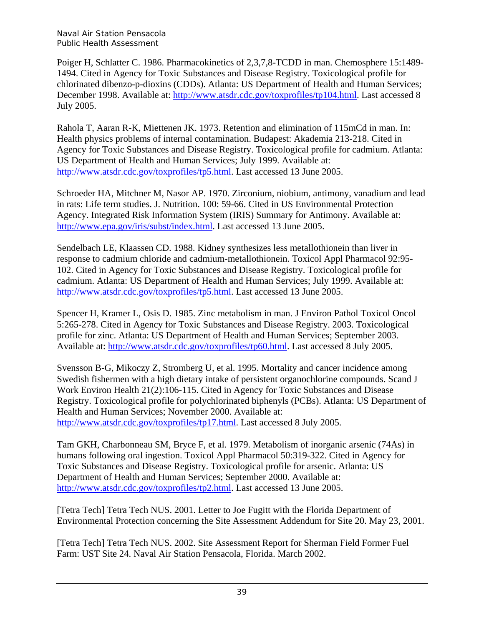Poiger H, Schlatter C. 1986. Pharmacokinetics of 2,3,7,8-TCDD in man. Chemosphere 15:1489-1494. Cited in Agency for Toxic Substances and Disease Registry. Toxicological profile for chlorinated dibenzo-p-dioxins (CDDs). Atlanta: US Department of Health and Human Services; December 1998. Available at: http://www.atsdr.cdc.gov/toxprofiles/tp104.html. Last accessed 8 July 2005.

Rahola T, Aaran R-K, Miettenen JK. 1973. Retention and elimination of 115mCd in man. In: Health physics problems of internal contamination. Budapest: Akademia 213-218. Cited in Agency for Toxic Substances and Disease Registry. Toxicological profile for cadmium. Atlanta: US Department of Health and Human Services; July 1999. Available at: http://www.atsdr.cdc.gov/toxprofiles/tp5.html. Last accessed 13 June 2005.

Schroeder HA, Mitchner M, Nasor AP. 1970. Zirconium, niobium, antimony, vanadium and lead in rats: Life term studies. J. Nutrition. 100: 59-66. Cited in US Environmental Protection Agency. Integrated Risk Information System (IRIS) Summary for Antimony. Available at: http://www.epa.gov/iris/subst/index.html. Last accessed 13 June 2005.

Sendelbach LE, Klaassen CD. 1988. Kidney synthesizes less metallothionein than liver in response to cadmium chloride and cadmium-metallothionein. Toxicol Appl Pharmacol 92:95 102. Cited in Agency for Toxic Substances and Disease Registry. Toxicological profile for cadmium. Atlanta: US Department of Health and Human Services; July 1999. Available at: http://www.atsdr.cdc.gov/toxprofiles/tp5.html. Last accessed 13 June 2005.

Spencer H, Kramer L, Osis D. 1985. Zinc metabolism in man. J Environ Pathol Toxicol Oncol 5:265-278. Cited in Agency for Toxic Substances and Disease Registry. 2003. Toxicological profile for zinc. Atlanta: US Department of Health and Human Services; September 2003. Available at: http://www.atsdr.cdc.gov/toxprofiles/tp60.html. Last accessed 8 July 2005.

Svensson B-G, Mikoczy Z, Stromberg U, et al. 1995. Mortality and cancer incidence among Swedish fishermen with a high dietary intake of persistent organochlorine compounds. Scand J Work Environ Health 21(2):106-115. Cited in Agency for Toxic Substances and Disease Registry. Toxicological profile for polychlorinated biphenyls (PCBs). Atlanta: US Department of Health and Human Services; November 2000. Available at: http://www.atsdr.cdc.gov/toxprofiles/tp17.html. Last accessed 8 July 2005.

Tam GKH, Charbonneau SM, Bryce F, et al. 1979. Metabolism of inorganic arsenic (74As) in humans following oral ingestion. Toxicol Appl Pharmacol 50:319-322. Cited in Agency for Toxic Substances and Disease Registry. Toxicological profile for arsenic. Atlanta: US Department of Health and Human Services; September 2000. Available at: http://www.atsdr.cdc.gov/toxprofiles/tp2.html. Last accessed 13 June 2005.

[Tetra Tech] Tetra Tech NUS. 2001. Letter to Joe Fugitt with the Florida Department of Environmental Protection concerning the Site Assessment Addendum for Site 20. May 23, 2001.

[Tetra Tech] Tetra Tech NUS. 2002. Site Assessment Report for Sherman Field Former Fuel Farm: UST Site 24. Naval Air Station Pensacola, Florida. March 2002.